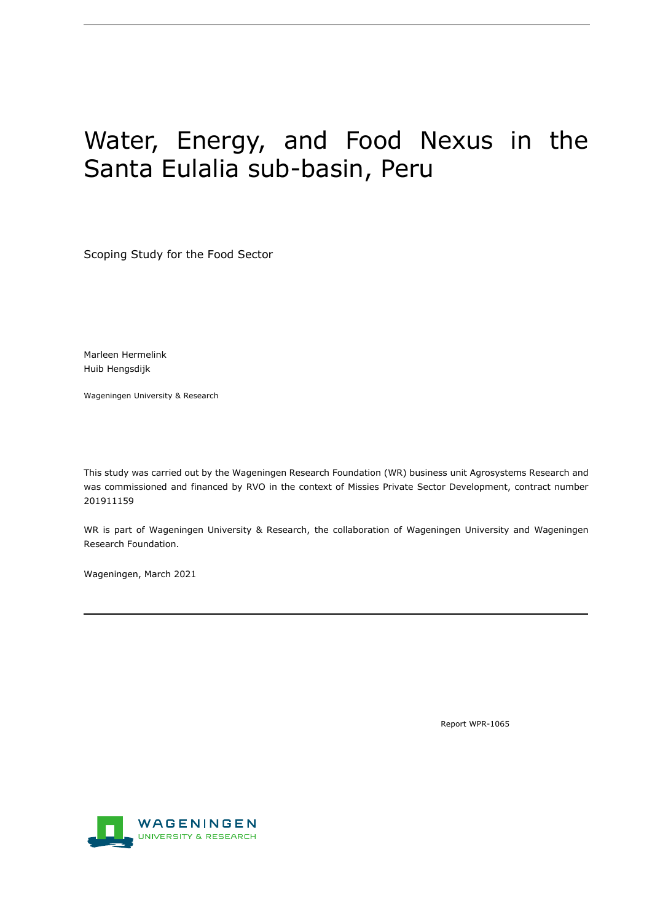# Water, Energy, and Food Nexus in the Santa Eulalia sub-basin, Peru

Scoping Study for the Food Sector

Marleen Hermelink Huib Hengsdijk

Wageningen University & Research

This study was carried out by the Wageningen Research Foundation (WR) business unit Agrosystems Research and was commissioned and financed by RVO in the context of Missies Private Sector Development, contract number 201911159

WR is part of Wageningen University & Research, the collaboration of Wageningen University and Wageningen Research Foundation.

Wageningen, March 2021

Report WPR-1065

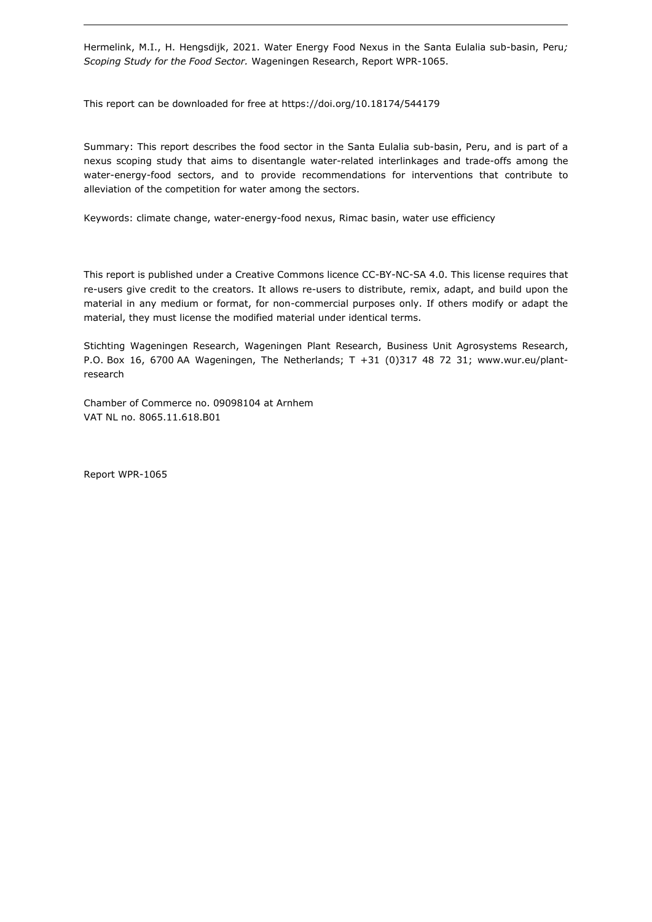Hermelink, M.I., H. Hengsdijk, 2021. Water Energy Food Nexus in the Santa Eulalia sub-basin, Peru*; Scoping Study for the Food Sector.* Wageningen Research, Report WPR-1065.

This report can be downloaded for free at https://doi.org/10.18174/544179

Summary: This report describes the food sector in the Santa Eulalia sub-basin, Peru, and is part of a nexus scoping study that aims to disentangle water-related interlinkages and trade-offs among the water-energy-food sectors, and to provide recommendations for interventions that contribute to alleviation of the competition for water among the sectors.

Keywords: climate change, water-energy-food nexus, Rimac basin, water use efficiency

This report is published under a Creative Commons licence CC-BY-NC-SA 4.0. This license requires that re-users give credit to the creators. It allows re-users to distribute, remix, adapt, and build upon the material in any medium or format, for non-commercial purposes only. If others modify or adapt the material, they must license the modified material under identical terms.

Stichting Wageningen Research, Wageningen Plant Research, Business Unit Agrosystems Research, P.O. Box 16, 6700 AA Wageningen, The Netherlands; T +31 (0)317 48 72 31; [www.wur.eu/plant](http://www.wur.eu/plant-research)[research](http://www.wur.eu/plant-research)

Chamber of Commerce no. 09098104 at Arnhem VAT NL no. 8065.11.618.B01

Report WPR-1065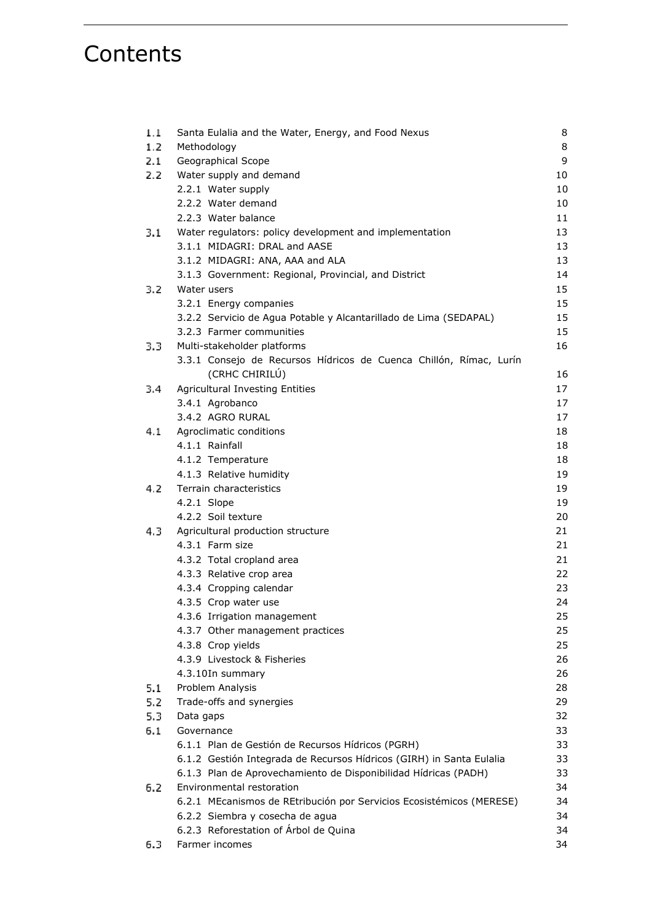## **Contents**

| 1.1  | Santa Eulalia and the Water, Energy, and Food Nexus                                  | 8  |
|------|--------------------------------------------------------------------------------------|----|
| 1.2  | Methodology                                                                          | 8  |
| 2.1  | Geographical Scope                                                                   | 9  |
| 2.2  | Water supply and demand                                                              | 10 |
|      | 2.2.1 Water supply                                                                   | 10 |
|      | 2.2.2 Water demand                                                                   | 10 |
|      | 2.2.3 Water balance                                                                  | 11 |
| 3.1  | Water regulators: policy development and implementation                              | 13 |
|      | 3.1.1 MIDAGRI: DRAL and AASE                                                         | 13 |
|      | 3.1.2 MIDAGRI: ANA, AAA and ALA                                                      | 13 |
|      | 3.1.3 Government: Regional, Provincial, and District                                 | 14 |
| 3.2  | Water users                                                                          | 15 |
|      | 3.2.1 Energy companies                                                               | 15 |
|      | 3.2.2 Servicio de Agua Potable y Alcantarillado de Lima (SEDAPAL)                    | 15 |
|      | 3.2.3 Farmer communities                                                             | 15 |
| 3.3. | Multi-stakeholder platforms                                                          | 16 |
|      | 3.3.1 Consejo de Recursos Hídricos de Cuenca Chillón, Rímac, Lurín<br>(CRHC CHIRILÚ) | 16 |
| 3.4  | <b>Agricultural Investing Entities</b>                                               | 17 |
|      | 3.4.1 Agrobanco                                                                      | 17 |
|      | 3.4.2 AGRO RURAL                                                                     | 17 |
| 4.1  | Agroclimatic conditions                                                              | 18 |
|      | 4.1.1 Rainfall                                                                       | 18 |
|      | 4.1.2 Temperature                                                                    | 18 |
|      | 4.1.3 Relative humidity                                                              | 19 |
| 4.2  | Terrain characteristics                                                              | 19 |
|      | 4.2.1 Slope                                                                          | 19 |
|      | 4.2.2 Soil texture                                                                   | 20 |
| 4.3  | Agricultural production structure                                                    | 21 |
|      | 4.3.1 Farm size                                                                      | 21 |
|      | 4.3.2 Total cropland area                                                            | 21 |
|      | 4.3.3 Relative crop area                                                             | 22 |
|      | 4.3.4 Cropping calendar                                                              | 23 |
|      | 4.3.5 Crop water use                                                                 | 24 |
|      | 4.3.6 Irrigation management                                                          | 25 |
|      | 4.3.7 Other management practices                                                     | 25 |
|      | 4.3.8 Crop yields                                                                    | 25 |
|      | 4.3.9 Livestock & Fisheries                                                          | 26 |
|      | 4.3.10In summary                                                                     | 26 |
| 5.1  | Problem Analysis                                                                     | 28 |
| 5.2  | Trade-offs and synergies                                                             | 29 |
| 5.3  | Data gaps                                                                            | 32 |
| 6.1  | Governance                                                                           | 33 |
|      | 6.1.1 Plan de Gestión de Recursos Hídricos (PGRH)                                    | 33 |
|      | 6.1.2 Gestión Integrada de Recursos Hídricos (GIRH) in Santa Eulalia                 | 33 |
|      | 6.1.3 Plan de Aprovechamiento de Disponibilidad Hídricas (PADH)                      | 33 |
| 6.2  | Environmental restoration                                                            | 34 |
|      | 6.2.1 MEcanismos de REtribución por Servicios Ecosistémicos (MERESE)                 | 34 |
|      | 6.2.2 Siembra y cosecha de agua                                                      | 34 |
|      | 6.2.3 Reforestation of Árbol de Quina                                                | 34 |
| 6.3  | Farmer incomes                                                                       | 34 |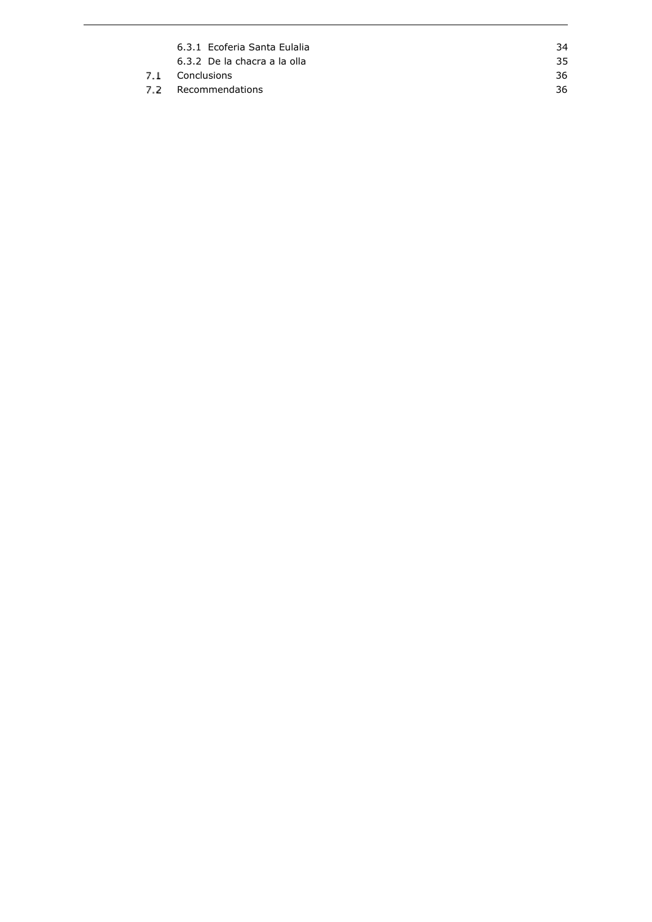| 6.3.1 Ecoferia Santa Eulalia | 34  |
|------------------------------|-----|
| 6.3.2 De la chacra a la olla | 35. |
| 7.1 Conclusions              | 36. |
| 7.2 Recommendations          | 36  |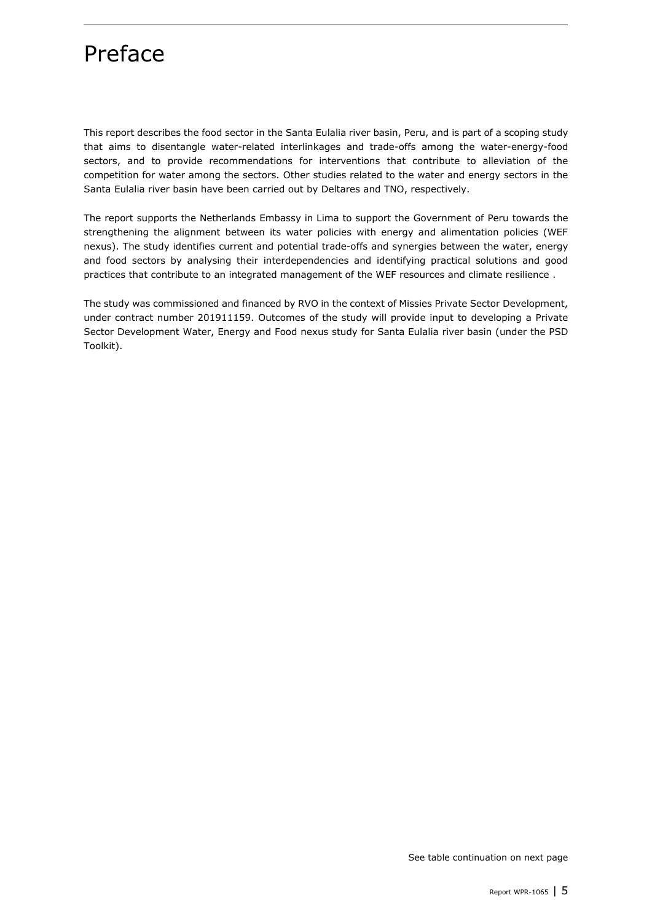## Preface

This report describes the food sector in the Santa Eulalia river basin, Peru, and is part of a scoping study that aims to disentangle water-related interlinkages and trade-offs among the water-energy-food sectors, and to provide recommendations for interventions that contribute to alleviation of the competition for water among the sectors. Other studies related to the water and energy sectors in the Santa Eulalia river basin have been carried out by Deltares and TNO, respectively.

The report supports the Netherlands Embassy in Lima to support the Government of Peru towards the strengthening the alignment between its water policies with energy and alimentation policies (WEF nexus). The study identifies current and potential trade-offs and synergies between the water, energy and food sectors by analysing their interdependencies and identifying practical solutions and good practices that contribute to an integrated management of the WEF resources and climate resilience .

The study was commissioned and financed by RVO in the context of Missies Private Sector Development, under contract number 201911159. Outcomes of the study will provide input to developing a Private Sector Development Water, Energy and Food nexus study for Santa Eulalia river basin (under the PSD Toolkit).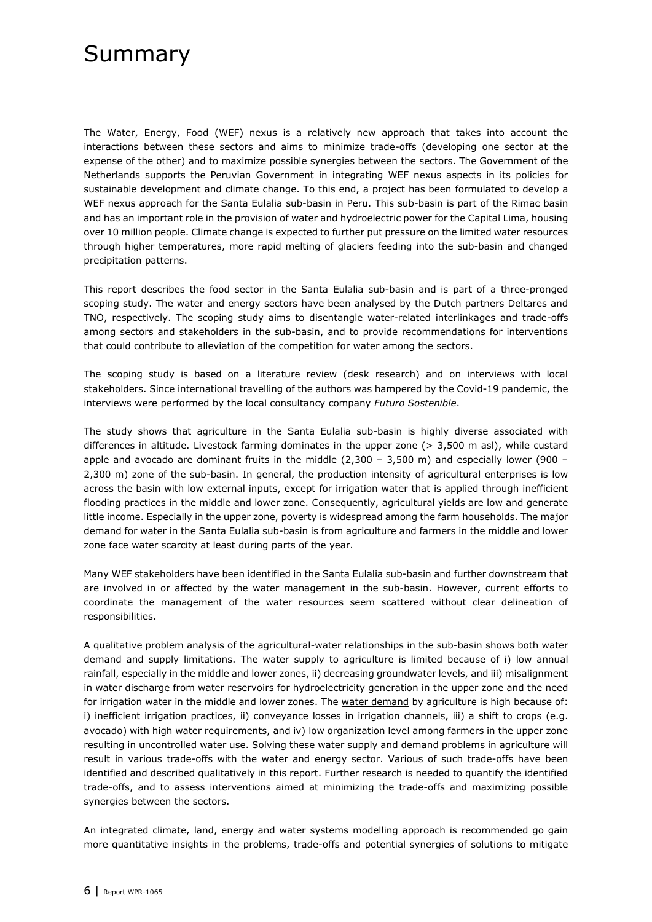## Summary

The Water, Energy, Food (WEF) nexus is a relatively new approach that takes into account the interactions between these sectors and aims to minimize trade-offs (developing one sector at the expense of the other) and to maximize possible synergies between the sectors. The Government of the Netherlands supports the Peruvian Government in integrating WEF nexus aspects in its policies for sustainable development and climate change. To this end, a project has been formulated to develop a WEF nexus approach for the Santa Eulalia sub-basin in Peru. This sub-basin is part of the Rimac basin and has an important role in the provision of water and hydroelectric power for the Capital Lima, housing over 10 million people. Climate change is expected to further put pressure on the limited water resources through higher temperatures, more rapid melting of glaciers feeding into the sub-basin and changed precipitation patterns.

This report describes the food sector in the Santa Eulalia sub-basin and is part of a three-pronged scoping study. The water and energy sectors have been analysed by the Dutch partners Deltares and TNO, respectively. The scoping study aims to disentangle water-related interlinkages and trade-offs among sectors and stakeholders in the sub-basin, and to provide recommendations for interventions that could contribute to alleviation of the competition for water among the sectors.

The scoping study is based on a literature review (desk research) and on interviews with local stakeholders. Since international travelling of the authors was hampered by the Covid-19 pandemic, the interviews were performed by the local consultancy company *Futuro Sostenible*.

The study shows that agriculture in the Santa Eulalia sub-basin is highly diverse associated with differences in altitude. Livestock farming dominates in the upper zone (> 3,500 m asl), while custard apple and avocado are dominant fruits in the middle (2,300 - 3,500 m) and especially lower (900 -2,300 m) zone of the sub-basin. In general, the production intensity of agricultural enterprises is low across the basin with low external inputs, except for irrigation water that is applied through inefficient flooding practices in the middle and lower zone. Consequently, agricultural yields are low and generate little income. Especially in the upper zone, poverty is widespread among the farm households. The major demand for water in the Santa Eulalia sub-basin is from agriculture and farmers in the middle and lower zone face water scarcity at least during parts of the year.

Many WEF stakeholders have been identified in the Santa Eulalia sub-basin and further downstream that are involved in or affected by the water management in the sub-basin. However, current efforts to coordinate the management of the water resources seem scattered without clear delineation of responsibilities.

A qualitative problem analysis of the agricultural-water relationships in the sub-basin shows both water demand and supply limitations. The water supply to agriculture is limited because of i) low annual rainfall, especially in the middle and lower zones, ii) decreasing groundwater levels, and iii) misalignment in water discharge from water reservoirs for hydroelectricity generation in the upper zone and the need for irrigation water in the middle and lower zones. The water demand by agriculture is high because of: i) inefficient irrigation practices, ii) conveyance losses in irrigation channels, iii) a shift to crops (e.g. avocado) with high water requirements, and iv) low organization level among farmers in the upper zone resulting in uncontrolled water use. Solving these water supply and demand problems in agriculture will result in various trade-offs with the water and energy sector. Various of such trade-offs have been identified and described qualitatively in this report. Further research is needed to quantify the identified trade-offs, and to assess interventions aimed at minimizing the trade-offs and maximizing possible synergies between the sectors.

An integrated climate, land, energy and water systems modelling approach is recommended go gain more quantitative insights in the problems, trade-offs and potential synergies of solutions to mitigate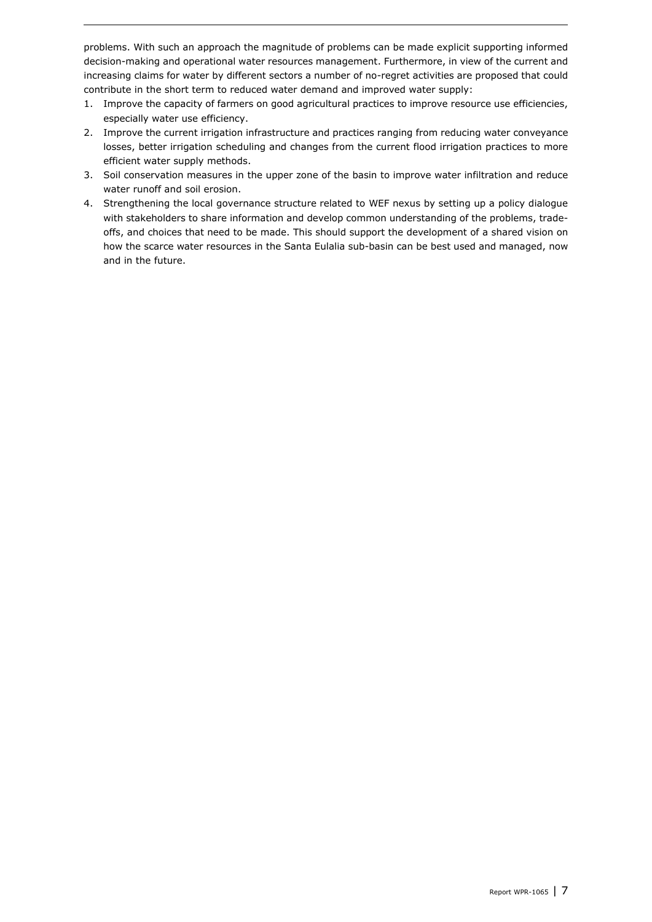problems. With such an approach the magnitude of problems can be made explicit supporting informed decision-making and operational water resources management. Furthermore, in view of the current and increasing claims for water by different sectors a number of no-regret activities are proposed that could contribute in the short term to reduced water demand and improved water supply:

- 1. Improve the capacity of farmers on good agricultural practices to improve resource use efficiencies, especially water use efficiency.
- 2. Improve the current irrigation infrastructure and practices ranging from reducing water conveyance losses, better irrigation scheduling and changes from the current flood irrigation practices to more efficient water supply methods.
- 3. Soil conservation measures in the upper zone of the basin to improve water infiltration and reduce water runoff and soil erosion.
- 4. Strengthening the local governance structure related to WEF nexus by setting up a policy dialogue with stakeholders to share information and develop common understanding of the problems, tradeoffs, and choices that need to be made. This should support the development of a shared vision on how the scarce water resources in the Santa Eulalia sub-basin can be best used and managed, now and in the future.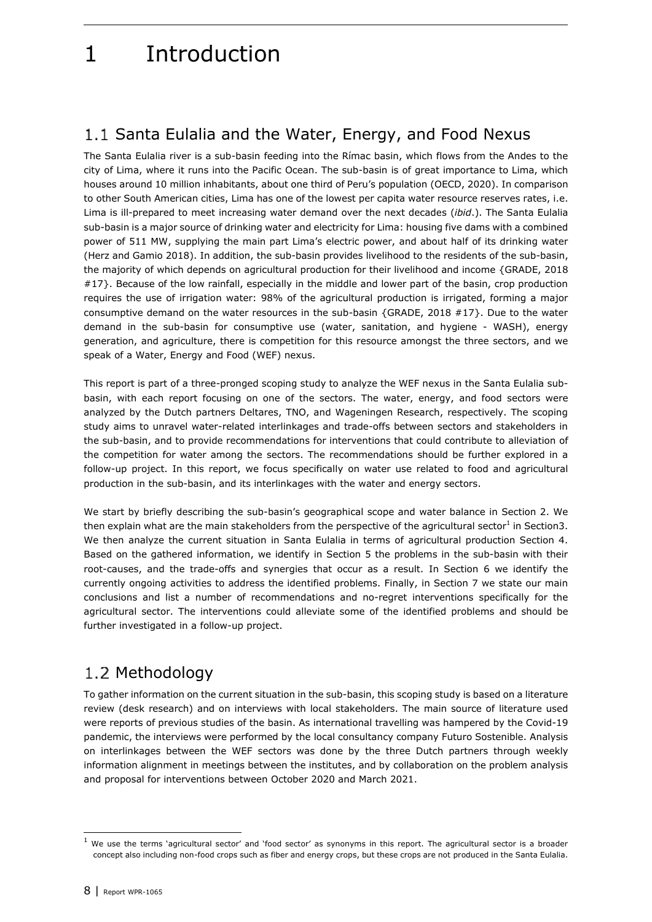## 1 Introduction

## <span id="page-7-0"></span>1.1 Santa Eulalia and the Water, Energy, and Food Nexus

The Santa Eulalia river is a sub-basin feeding into the Rímac basin, which flows from the Andes to the city of Lima, where it runs into the Pacific Ocean. The sub-basin is of great importance to Lima, which houses around 10 million inhabitants, about one third of Peru's population (OECD, 2020). In comparison to other South American cities, Lima has one of the lowest per capita water resource reserves rates, i.e. Lima is ill-prepared to meet increasing water demand over the next decades (*ibid*.). The Santa Eulalia sub-basin is a major source of drinking water and electricity for Lima: housing five dams with a combined power of 511 MW, supplying the main part Lima's electric power, and about half of its drinking water (Herz and Gamio 2018). In addition, the sub-basin provides livelihood to the residents of the sub-basin, the majority of which depends on agricultural production for their livelihood and income {GRADE, 2018 #17}. Because of the low rainfall, especially in the middle and lower part of the basin, crop production requires the use of irrigation water: 98% of the agricultural production is irrigated, forming a major consumptive demand on the water resources in the sub-basin {GRADE, 2018 #17}. Due to the water demand in the sub-basin for consumptive use (water, sanitation, and hygiene - WASH), energy generation, and agriculture, there is competition for this resource amongst the three sectors, and we speak of a Water, Energy and Food (WEF) nexus.

This report is part of a three-pronged scoping study to analyze the WEF nexus in the Santa Eulalia subbasin, with each report focusing on one of the sectors. The water, energy, and food sectors were analyzed by the Dutch partners Deltares, TNO, and Wageningen Research, respectively. The scoping study aims to unravel water-related interlinkages and trade-offs between sectors and stakeholders in the sub-basin, and to provide recommendations for interventions that could contribute to alleviation of the competition for water among the sectors. The recommendations should be further explored in a follow-up project. In this report, we focus specifically on water use related to food and agricultural production in the sub-basin, and its interlinkages with the water and energy sectors.

We start by briefly describing the sub-basin's geographical scope and water balance in Section 2. We then explain what are the main stakeholders from the perspective of the agricultural sector<sup>1</sup> in Sectio[n3.](#page-12-3) We then analyze the current situation in Santa Eulalia in terms of agricultural production Section [4.](#page-17-3) Based on the gathered information, we identify in Section [5](#page-27-1) the problems in the sub-basin with their root-causes, and the trade-offs and synergies that occur as a result. In Section [6](#page-32-4) we identify the currently ongoing activities to address the identified problems. Finally, in Section [7](#page-35-2) we state our main conclusions and list a number of recommendations and no-regret interventions specifically for the agricultural sector. The interventions could alleviate some of the identified problems and should be further investigated in a follow-up project.

## <span id="page-7-1"></span>1.2 Methodology

To gather information on the current situation in the sub-basin, this scoping study is based on a literature review (desk research) and on interviews with local stakeholders. The main source of literature used were reports of previous studies of the basin. As international travelling was hampered by the Covid-19 pandemic, the interviews were performed by the local consultancy company Futuro Sostenible. Analysis on interlinkages between the WEF sectors was done by the three Dutch partners through weekly information alignment in meetings between the institutes, and by collaboration on the problem analysis and proposal for interventions between October 2020 and March 2021.

<sup>1</sup> We use the terms 'agricultural sector' and 'food sector' as synonyms in this report. The agricultural sector is a broader concept also including non-food crops such as fiber and energy crops, but these crops are not produced in the Santa Eulalia.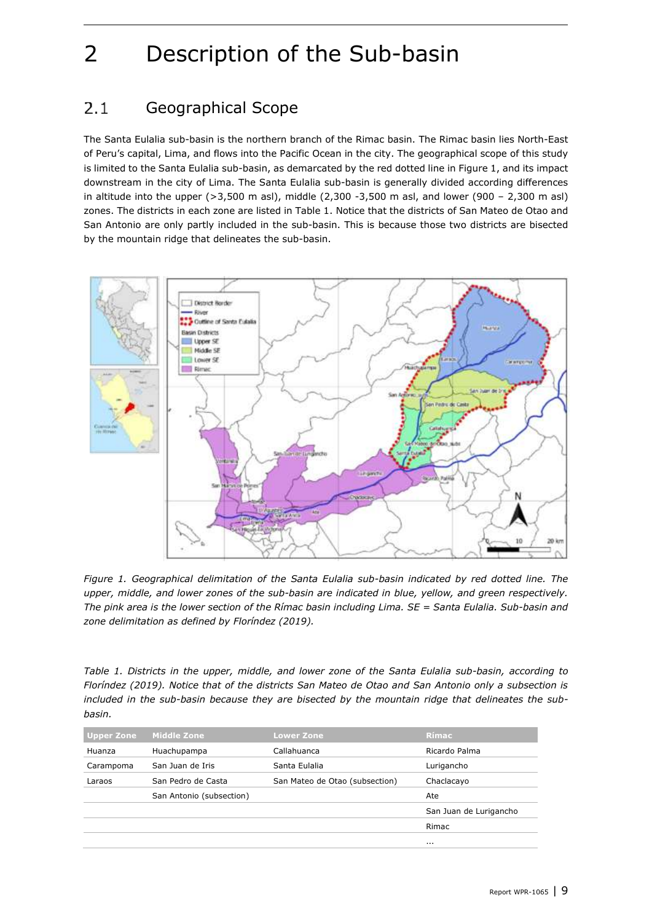# <span id="page-8-3"></span>2 Description of the Sub-basin

#### <span id="page-8-0"></span> $2.1$ Geographical Scope

The Santa Eulalia sub-basin is the northern branch of the Rimac basin. The Rimac basin lies North-East of Peru's capital, Lima, and flows into the Pacific Ocean in the city. The geographical scope of this study is limited to the Santa Eulalia sub-basin, as demarcated by the red dotted line in [Figure 1,](#page-8-1) and its impact downstream in the city of Lima. The Santa Eulalia sub-basin is generally divided according differences in altitude into the upper (>3,500 m asl), middle (2,300 -3,500 m asl, and lower (900 – 2,300 m asl) zones. The districts in each zone are listed i[n Table 1.](#page-8-2) Notice that the districts of San Mateo de Otao and San Antonio are only partly included in the sub-basin. This is because those two districts are bisected by the mountain ridge that delineates the sub-basin.



<span id="page-8-1"></span>*Figure 1. Geographical delimitation of the Santa Eulalia sub-basin indicated by red dotted line. The upper, middle, and lower zones of the sub-basin are indicated in blue, yellow, and green respectively. The pink area is the lower section of the Rímac basin including Lima. SE = Santa Eulalia. Sub-basin and zone delimitation as defined by Floríndez (2019).*

<span id="page-8-2"></span>*Table 1. Districts in the upper, middle, and lower zone of the Santa Eulalia sub-basin, according to Floríndez (2019). Notice that of the districts San Mateo de Otao and San Antonio only a subsection is included in the sub-basin because they are bisected by the mountain ridge that delineates the subbasin.*

| <b>Upper Zone</b> | <b>Middle Zone</b>       | <b>Lower Zone</b>              | <b>Rímac</b>           |
|-------------------|--------------------------|--------------------------------|------------------------|
| Huanza            | Huachupampa              | Callahuanca                    | Ricardo Palma          |
| Carampoma         | San Juan de Iris         | Santa Eulalia                  | Lurigancho             |
| Laraos            | San Pedro de Casta       | San Mateo de Otao (subsection) | Chaclacayo             |
|                   | San Antonio (subsection) |                                | Ate                    |
|                   |                          |                                | San Juan de Lurigancho |
|                   |                          |                                | Rimac                  |
|                   |                          |                                | $\cdots$               |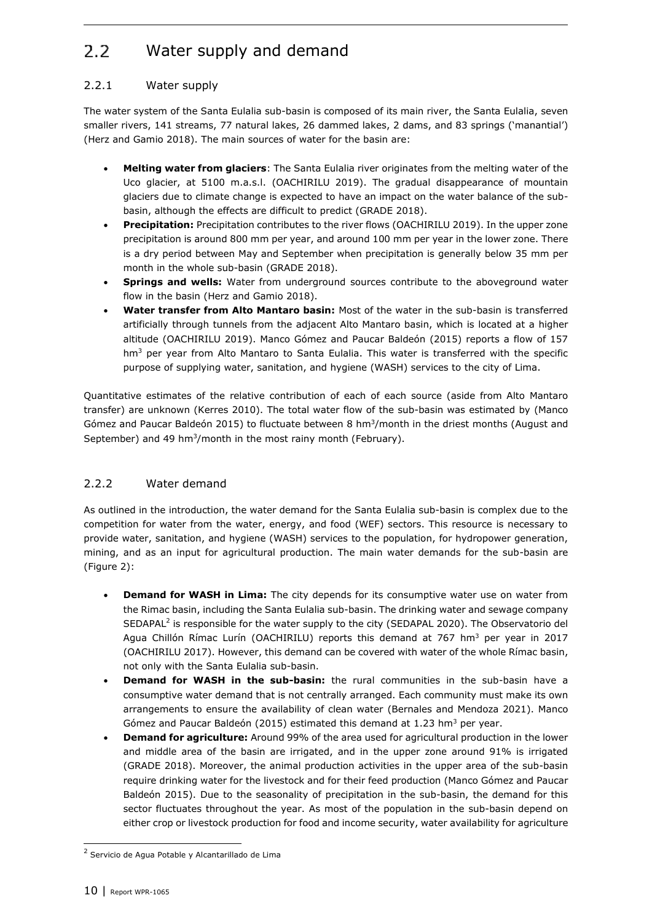#### <span id="page-9-0"></span> $2.2^{\circ}$ Water supply and demand

### <span id="page-9-1"></span>2.2.1 Water supply

The water system of the Santa Eulalia sub-basin is composed of its main river, the Santa Eulalia, seven smaller rivers, 141 streams, 77 natural lakes, 26 dammed lakes, 2 dams, and 83 springs ('manantial') (Herz and Gamio 2018). The main sources of water for the basin are:

- **Melting water from glaciers**: The Santa Eulalia river originates from the melting water of the Uco glacier, at 5100 m.a.s.l. (OACHIRILU 2019). The gradual disappearance of mountain glaciers due to climate change is expected to have an impact on the water balance of the subbasin, although the effects are difficult to predict (GRADE 2018).
- **Precipitation:** Precipitation contributes to the river flows (OACHIRILU 2019). In the upper zone precipitation is around 800 mm per year, and around 100 mm per year in the lower zone. There is a dry period between May and September when precipitation is generally below 35 mm per month in the whole sub-basin (GRADE 2018).
- **Springs and wells:** Water from underground sources contribute to the aboveground water flow in the basin (Herz and Gamio 2018).
- **Water transfer from Alto Mantaro basin:** Most of the water in the sub-basin is transferred artificially through tunnels from the adjacent Alto Mantaro basin, which is located at a higher altitude (OACHIRILU 2019). Manco Gómez and Paucar Baldeón (2015) reports a flow of 157 hm<sup>3</sup> per year from Alto Mantaro to Santa Eulalia. This water is transferred with the specific purpose of supplying water, sanitation, and hygiene (WASH) services to the city of Lima.

Quantitative estimates of the relative contribution of each of each source (aside from Alto Mantaro transfer) are unknown (Kerres 2010). The total water flow of the sub-basin was estimated by (Manco Gómez and Paucar Baldeón 2015) to fluctuate between 8 hm<sup>3</sup>/month in the driest months (August and September) and 49 hm<sup>3</sup>/month in the most rainy month (February).

## <span id="page-9-2"></span>2.2.2 Water demand

As outlined in the introduction, the water demand for the Santa Eulalia sub-basin is complex due to the competition for water from the water, energy, and food (WEF) sectors. This resource is necessary to provide water, sanitation, and hygiene (WASH) services to the population, for hydropower generation, mining, and as an input for agricultural production. The main water demands for the sub-basin are [\(Figure 2\)](#page-10-1):

- **Demand for WASH in Lima:** The city depends for its consumptive water use on water from the Rimac basin, including the Santa Eulalia sub-basin. The drinking water and sewage company SEDAPAL<sup>2</sup> is responsible for the water supply to the city (SEDAPAL 2020). The Observatorio del Agua Chillón Rímac Lurín (OACHIRILU) reports this demand at 767 hm<sup>3</sup> per year in 2017 (OACHIRILU 2017). However, this demand can be covered with water of the whole Rímac basin, not only with the Santa Eulalia sub-basin.
- **Demand for WASH in the sub-basin:** the rural communities in the sub-basin have a consumptive water demand that is not centrally arranged. Each community must make its own arrangements to ensure the availability of clean water (Bernales and Mendoza 2021). Manco Gómez and Paucar Baldeón (2015) estimated this demand at 1.23 hm<sup>3</sup> per year.
- **Demand for agriculture:** Around 99% of the area used for agricultural production in the lower and middle area of the basin are irrigated, and in the upper zone around 91% is irrigated (GRADE 2018). Moreover, the animal production activities in the upper area of the sub-basin require drinking water for the livestock and for their feed production (Manco Gómez and Paucar Baldeón 2015). Due to the seasonality of precipitation in the sub-basin, the demand for this sector fluctuates throughout the year. As most of the population in the sub-basin depend on either crop or livestock production for food and income security, water availability for agriculture

<sup>&</sup>lt;sup>2</sup> Servicio de Agua Potable y Alcantarillado de Lima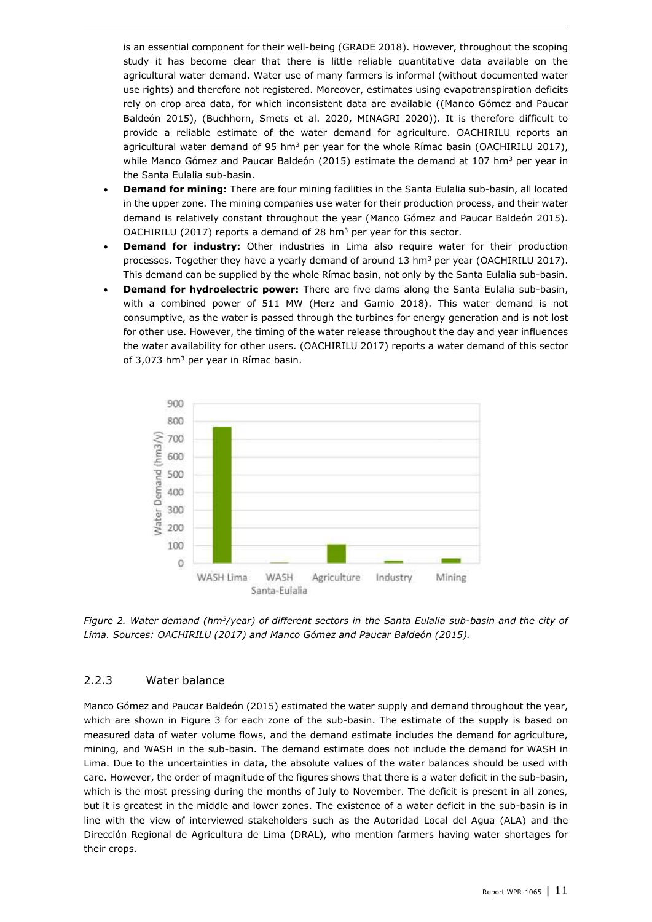is an essential component for their well-being (GRADE 2018). However, throughout the scoping study it has become clear that there is little reliable quantitative data available on the agricultural water demand. Water use of many farmers is informal (without documented water use rights) and therefore not registered. Moreover, estimates using evapotranspiration deficits rely on crop area data, for which inconsistent data are available ((Manco Gómez and Paucar Baldeón 2015), (Buchhorn, Smets et al. 2020, MINAGRI 2020)). It is therefore difficult to provide a reliable estimate of the water demand for agriculture. OACHIRILU reports an agricultural water demand of 95 hm<sup>3</sup> per year for the whole Rímac basin (OACHIRILU 2017), while Manco Gómez and Paucar Baldeón (2015) estimate the demand at 107 hm<sup>3</sup> per year in the Santa Eulalia sub-basin.

- **Demand for mining:** There are four mining facilities in the Santa Eulalia sub-basin, all located in the upper zone. The mining companies use water for their production process, and their water demand is relatively constant throughout the year (Manco Gómez and Paucar Baldeón 2015). OACHIRILU (2017) reports a demand of 28 hm<sup>3</sup> per year for this sector.
- **Demand for industry:** Other industries in Lima also require water for their production processes. Together they have a yearly demand of around 13 hm<sup>3</sup> per year (OACHIRILU 2017). This demand can be supplied by the whole Rímac basin, not only by the Santa Eulalia sub-basin.
- **Demand for hydroelectric power:** There are five dams along the Santa Eulalia sub-basin, with a combined power of 511 MW (Herz and Gamio 2018). This water demand is not consumptive, as the water is passed through the turbines for energy generation and is not lost for other use. However, the timing of the water release throughout the day and year influences the water availability for other users. (OACHIRILU 2017) reports a water demand of this sector of 3,073 hm<sup>3</sup> per year in Rímac basin.



<span id="page-10-1"></span>*Figure 2. Water demand (hm<sup>3</sup> /year) of different sectors in the Santa Eulalia sub-basin and the city of Lima. Sources: OACHIRILU (2017) and Manco Gómez and Paucar Baldeón (2015).*

#### <span id="page-10-0"></span>2.2.3 Water balance

Manco Gómez and Paucar Baldeón (2015) estimated the water supply and demand throughout the year, which are shown in [Figure 3](#page-11-0) for each zone of the sub-basin. The estimate of the supply is based on measured data of water volume flows, and the demand estimate includes the demand for agriculture, mining, and WASH in the sub-basin. The demand estimate does not include the demand for WASH in Lima. Due to the uncertainties in data, the absolute values of the water balances should be used with care. However, the order of magnitude of the figures shows that there is a water deficit in the sub-basin, which is the most pressing during the months of July to November. The deficit is present in all zones, but it is greatest in the middle and lower zones. The existence of a water deficit in the sub-basin is in line with the view of interviewed stakeholders such as the Autoridad Local del Agua (ALA) and the Dirección Regional de Agricultura de Lima (DRAL), who mention farmers having water shortages for their crops.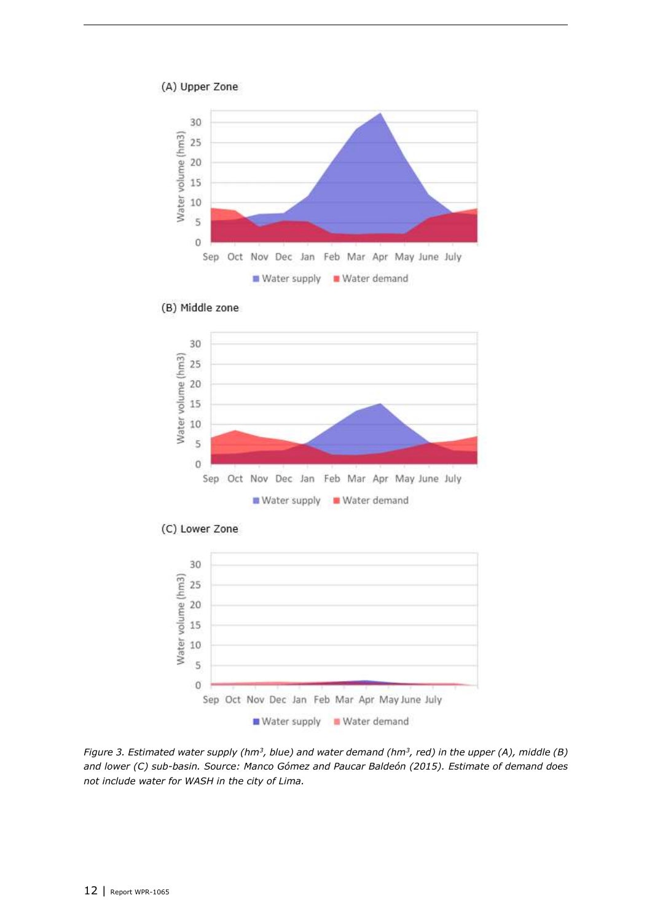#### (A) Upper Zone







(C) Lower Zone



<span id="page-11-0"></span>*Figure 3. Estimated water supply (hm<sup>3</sup> , blue) and water demand (hm<sup>3</sup> , red) in the upper (A), middle (B) and lower (C) sub-basin. Source: Manco Gómez and Paucar Baldeón (2015). Estimate of demand does not include water for WASH in the city of Lima.*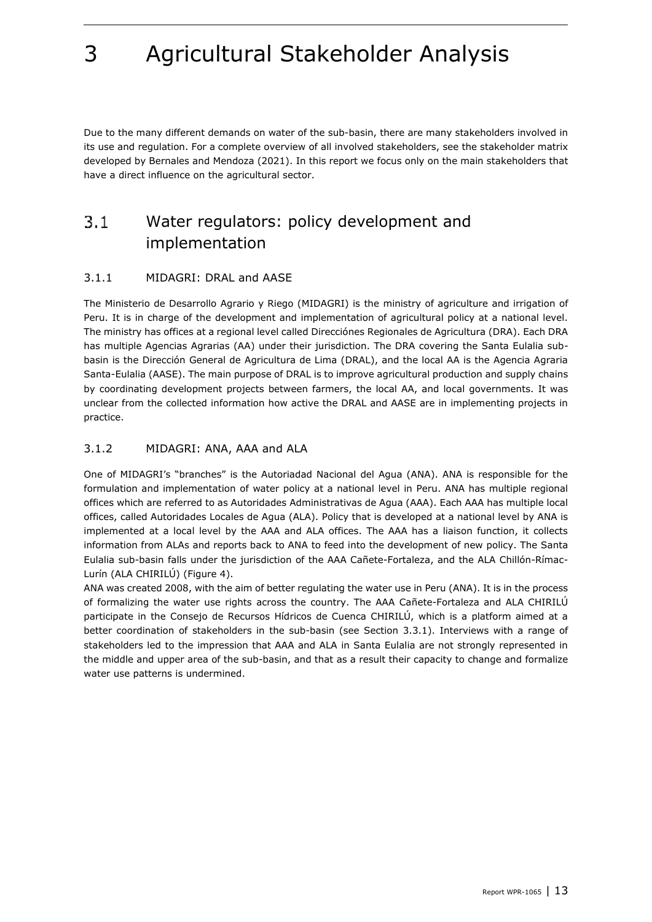<span id="page-12-3"></span>

Due to the many different demands on water of the sub-basin, there are many stakeholders involved in its use and regulation. For a complete overview of all involved stakeholders, see the stakeholder matrix developed by Bernales and Mendoza (2021). In this report we focus only on the main stakeholders that have a direct influence on the agricultural sector.

#### <span id="page-12-0"></span> $3.1$ Water regulators: policy development and implementation

### <span id="page-12-1"></span>3.1.1 MIDAGRI: DRAL and AASE

The Ministerio de Desarrollo Agrario y Riego (MIDAGRI) is the ministry of agriculture and irrigation of Peru. It is in charge of the development and implementation of agricultural policy at a national level. The ministry has offices at a regional level called Direcciónes Regionales de Agricultura (DRA). Each DRA has multiple Agencias Agrarias (AA) under their jurisdiction. The DRA covering the Santa Eulalia subbasin is the Dirección General de Agricultura de Lima (DRAL), and the local AA is the Agencia Agraria Santa-Eulalia (AASE). The main purpose of DRAL is to improve agricultural production and supply chains by coordinating development projects between farmers, the local AA, and local governments. It was unclear from the collected information how active the DRAL and AASE are in implementing projects in practice.

### <span id="page-12-2"></span>3.1.2 MIDAGRI: ANA, AAA and ALA

One of MIDAGRI's "branches" is the Autoriadad Nacional del Agua (ANA). ANA is responsible for the formulation and implementation of water policy at a national level in Peru. ANA has multiple regional offices which are referred to as Autoridades Administrativas de Agua (AAA). Each AAA has multiple local offices, called Autoridades Locales de Agua (ALA). Policy that is developed at a national level by ANA is implemented at a local level by the AAA and ALA offices. The AAA has a liaison function, it collects information from ALAs and reports back to ANA to feed into the development of new policy. The Santa Eulalia sub-basin falls under the jurisdiction of the AAA Cañete-Fortaleza, and the ALA Chillón-Rímac-Lurín (ALA CHIRILÚ) [\(Figure 4\)](#page-13-1).

ANA was created 2008, with the aim of better regulating the water use in Peru (ANA). It is in the process of formalizing the water use rights across the country. The AAA Cañete-Fortaleza and ALA CHIRILÚ participate in the Consejo de Recursos Hídricos de Cuenca CHIRILÚ, which is a platform aimed at a better coordination of stakeholders in the sub-basin (see Section [3.3.1\)](#page-15-1). Interviews with a range of stakeholders led to the impression that AAA and ALA in Santa Eulalia are not strongly represented in the middle and upper area of the sub-basin, and that as a result their capacity to change and formalize water use patterns is undermined.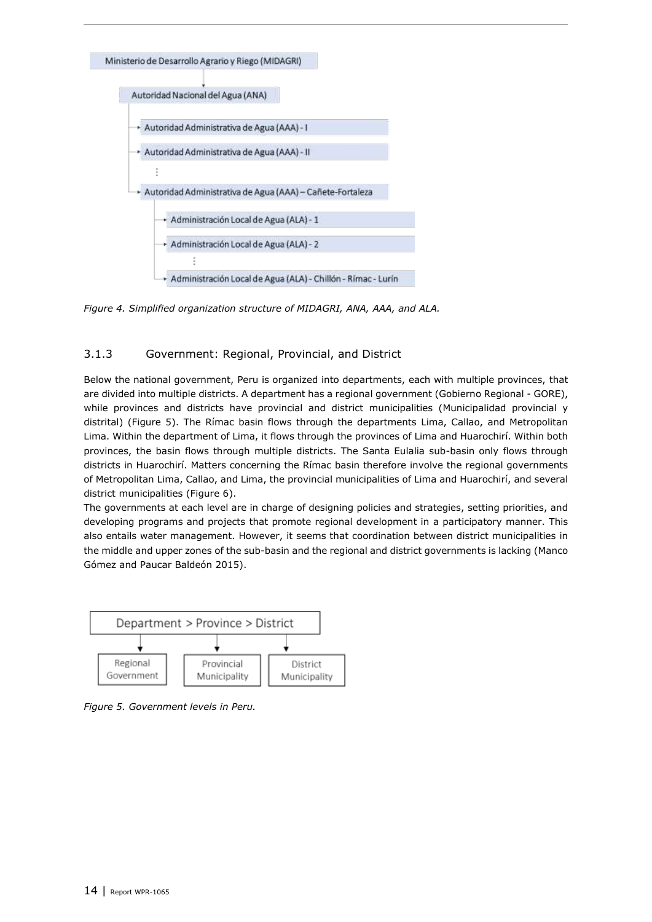

<span id="page-13-1"></span>*Figure 4. Simplified organization structure of MIDAGRI, ANA, AAA, and ALA.*

#### <span id="page-13-0"></span>3.1.3 Government: Regional, Provincial, and District

Below the national government, Peru is organized into departments, each with multiple provinces, that are divided into multiple districts. A department has a regional government (Gobierno Regional - GORE), while provinces and districts have provincial and district municipalities (Municipalidad provincial y distrital) [\(Figure 5\)](#page-13-2). The Rímac basin flows through the departments Lima, Callao, and Metropolitan Lima. Within the department of Lima, it flows through the provinces of Lima and Huarochirí. Within both provinces, the basin flows through multiple districts. The Santa Eulalia sub-basin only flows through districts in Huarochirí. Matters concerning the Rímac basin therefore involve the regional governments of Metropolitan Lima, Callao, and Lima, the provincial municipalities of Lima and Huarochirí, and several district municipalities [\(Figure 6\)](#page-14-4).

The governments at each level are in charge of designing policies and strategies, setting priorities, and developing programs and projects that promote regional development in a participatory manner. This also entails water management. However, it seems that coordination between district municipalities in the middle and upper zones of the sub-basin and the regional and district governments is lacking (Manco Gómez and Paucar Baldeón 2015).



<span id="page-13-2"></span>*Figure 5. Government levels in Peru.*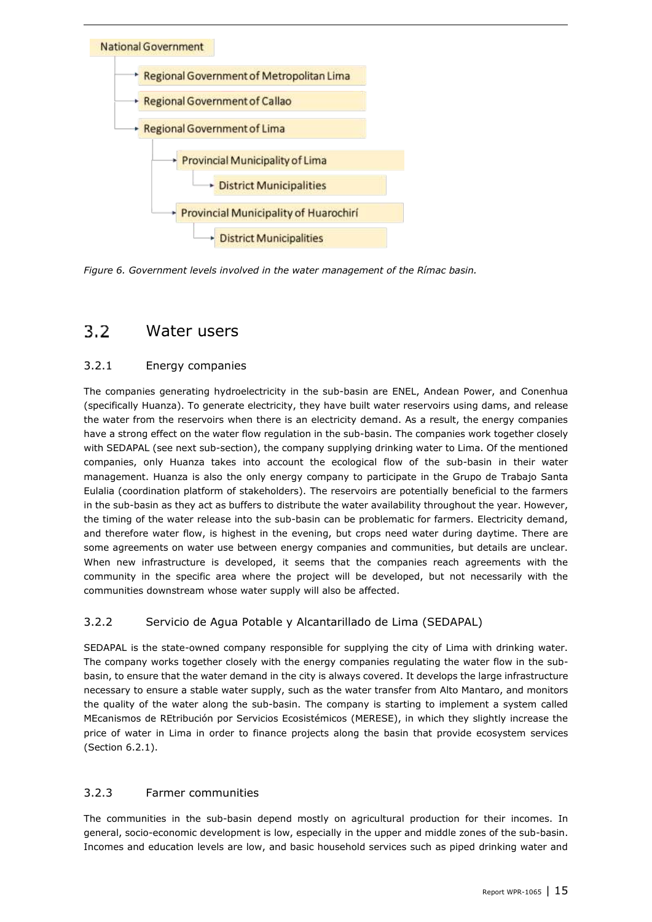

<span id="page-14-4"></span><span id="page-14-0"></span>*Figure 6. Government levels involved in the water management of the Rímac basin.*

#### $3.2$ Water users

## <span id="page-14-1"></span>3.2.1 Energy companies

The companies generating hydroelectricity in the sub-basin are ENEL, Andean Power, and Conenhua (specifically Huanza). To generate electricity, they have built water reservoirs using dams, and release the water from the reservoirs when there is an electricity demand. As a result, the energy companies have a strong effect on the water flow regulation in the sub-basin. The companies work together closely with SEDAPAL (see next sub-section), the company supplying drinking water to Lima. Of the mentioned companies, only Huanza takes into account the ecological flow of the sub-basin in their water management. Huanza is also the only energy company to participate in the Grupo de Trabajo Santa Eulalia (coordination platform of stakeholders). The reservoirs are potentially beneficial to the farmers in the sub-basin as they act as buffers to distribute the water availability throughout the year. However, the timing of the water release into the sub-basin can be problematic for farmers. Electricity demand, and therefore water flow, is highest in the evening, but crops need water during daytime. There are some agreements on water use between energy companies and communities, but details are unclear. When new infrastructure is developed, it seems that the companies reach agreements with the community in the specific area where the project will be developed, but not necessarily with the communities downstream whose water supply will also be affected.

## <span id="page-14-2"></span>3.2.2 Servicio de Agua Potable y Alcantarillado de Lima (SEDAPAL)

SEDAPAL is the state-owned company responsible for supplying the city of Lima with drinking water. The company works together closely with the energy companies regulating the water flow in the subbasin, to ensure that the water demand in the city is always covered. It develops the large infrastructure necessary to ensure a stable water supply, such as the water transfer from Alto Mantaro, and monitors the quality of the water along the sub-basin. The company is starting to implement a system called MEcanismos de REtribución por Servicios Ecosistémicos (MERESE), in which they slightly increase the price of water in Lima in order to finance projects along the basin that provide ecosystem services (Section [6.2.1\)](#page-33-1).

### <span id="page-14-3"></span>3.2.3 Farmer communities

The communities in the sub-basin depend mostly on agricultural production for their incomes. In general, socio-economic development is low, especially in the upper and middle zones of the sub-basin. Incomes and education levels are low, and basic household services such as piped drinking water and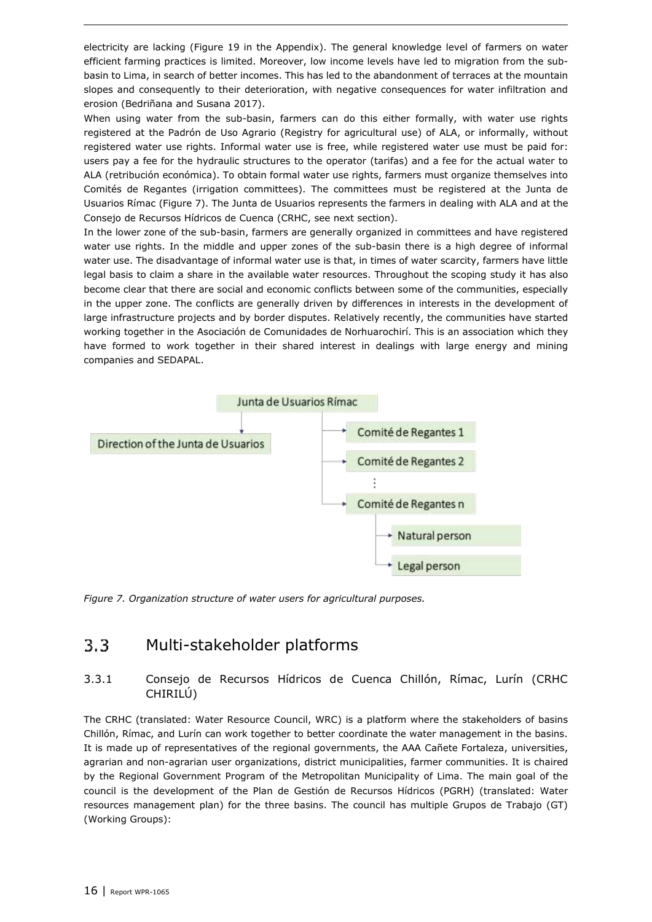electricity are lacking [\(Figure 19](#page-39-0) in the Appendix). The general knowledge level of farmers on water efficient farming practices is limited. Moreover, low income levels have led to migration from the subbasin to Lima, in search of better incomes. This has led to the abandonment of terraces at the mountain slopes and consequently to their deterioration, with negative consequences for water infiltration and erosion (Bedriñana and Susana 2017).

When using water from the sub-basin, farmers can do this either formally, with water use rights registered at the Padrón de Uso Agrario (Registry for agricultural use) of ALA, or informally, without registered water use rights. Informal water use is free, while registered water use must be paid for: users pay a fee for the hydraulic structures to the operator (tarifas) and a fee for the actual water to ALA (retribución económica). To obtain formal water use rights, farmers must organize themselves into Comités de Regantes (irrigation committees). The committees must be registered at the Junta de Usuarios Rímac [\(Figure 7\)](#page-15-2). The Junta de Usuarios represents the farmers in dealing with ALA and at the Consejo de Recursos Hídricos de Cuenca (CRHC, see next section).

In the lower zone of the sub-basin, farmers are generally organized in committees and have registered water use rights. In the middle and upper zones of the sub-basin there is a high degree of informal water use. The disadvantage of informal water use is that, in times of water scarcity, farmers have little legal basis to claim a share in the available water resources. Throughout the scoping study it has also become clear that there are social and economic conflicts between some of the communities, especially in the upper zone. The conflicts are generally driven by differences in interests in the development of large infrastructure projects and by border disputes. Relatively recently, the communities have started working together in the Asociación de Comunidades de Norhuarochirí. This is an association which they have formed to work together in their shared interest in dealings with large energy and mining companies and SEDAPAL.



<span id="page-15-2"></span><span id="page-15-0"></span>*Figure 7. Organization structure of water users for agricultural purposes.*

#### $3.3$ Multi-stakeholder platforms

## <span id="page-15-1"></span>3.3.1 Consejo de Recursos Hídricos de Cuenca Chillón, Rímac, Lurín (CRHC CHIRILÚ)

The CRHC (translated: Water Resource Council, WRC) is a platform where the stakeholders of basins Chillón, Rímac, and Lurín can work together to better coordinate the water management in the basins. It is made up of representatives of the regional governments, the AAA Cañete Fortaleza, universities, agrarian and non-agrarian user organizations, district municipalities, farmer communities. It is chaired by the Regional Government Program of the Metropolitan Municipality of Lima. The main goal of the council is the development of the Plan de Gestión de Recursos Hídricos (PGRH) (translated: Water resources management plan) for the three basins. The council has multiple Grupos de Trabajo (GT) (Working Groups):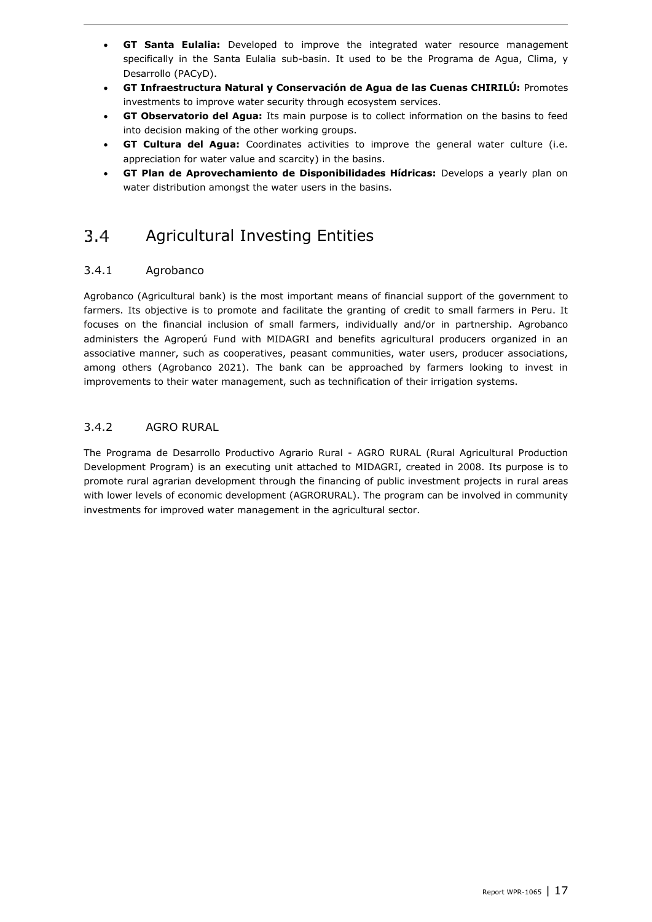- **GT Santa Eulalia:** Developed to improve the integrated water resource management specifically in the Santa Eulalia sub-basin. It used to be the Programa de Agua, Clima, y Desarrollo (PACyD).
- **GT Infraestructura Natural y Conservación de Agua de las Cuenas CHIRILÚ:** Promotes investments to improve water security through ecosystem services.
- **GT Observatorio del Agua:** Its main purpose is to collect information on the basins to feed into decision making of the other working groups.
- **GT Cultura del Agua:** Coordinates activities to improve the general water culture (i.e. appreciation for water value and scarcity) in the basins.
- **GT Plan de Aprovechamiento de Disponibilidades Hídricas:** Develops a yearly plan on water distribution amongst the water users in the basins.

#### <span id="page-16-0"></span>Agricultural Investing Entities  $3.4$

### <span id="page-16-1"></span>3.4.1 Agrobanco

Agrobanco (Agricultural bank) is the most important means of financial support of the government to farmers. Its objective is to promote and facilitate the granting of credit to small farmers in Peru. It focuses on the financial inclusion of small farmers, individually and/or in partnership. Agrobanco administers the Agroperú Fund with MIDAGRI and benefits agricultural producers organized in an associative manner, such as cooperatives, peasant communities, water users, producer associations, among others (Agrobanco 2021). The bank can be approached by farmers looking to invest in improvements to their water management, such as technification of their irrigation systems.

#### <span id="page-16-2"></span>3.4.2 AGRO RURAL

The Programa de Desarrollo Productivo Agrario Rural - AGRO RURAL (Rural Agricultural Production Development Program) is an executing unit attached to MIDAGRI, created in 2008. Its purpose is to promote rural agrarian development through the financing of public investment projects in rural areas with lower levels of economic development (AGRORURAL). The program can be involved in community investments for improved water management in the agricultural sector.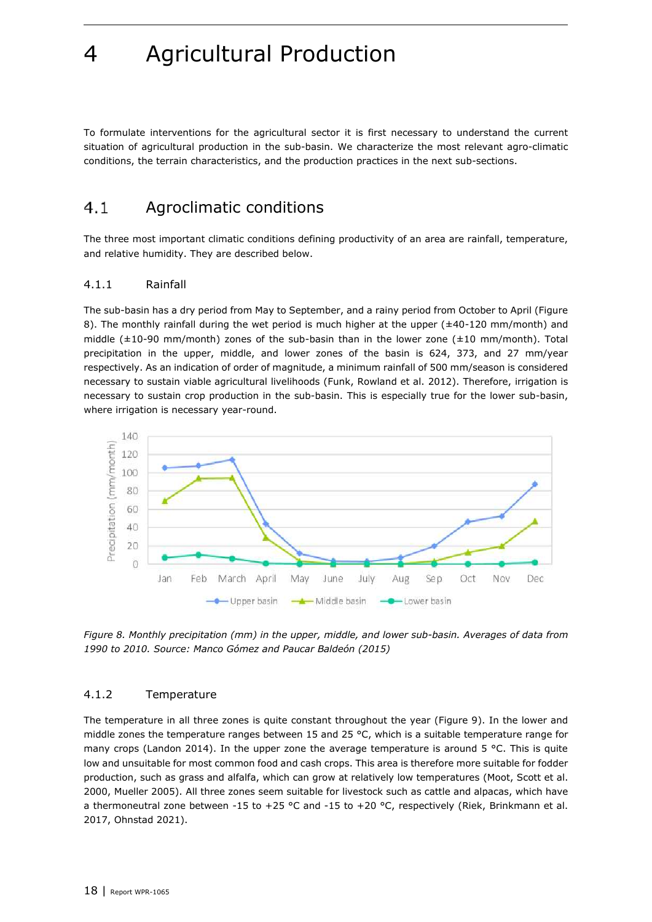<span id="page-17-3"></span>To formulate interventions for the agricultural sector it is first necessary to understand the current situation of agricultural production in the sub-basin. We characterize the most relevant agro-climatic conditions, the terrain characteristics, and the production practices in the next sub-sections.

#### <span id="page-17-0"></span> $4.1$ Agroclimatic conditions

The three most important climatic conditions defining productivity of an area are rainfall, temperature, and relative humidity. They are described below.

#### <span id="page-17-1"></span>4.1.1 Rainfall

The sub-basin has a dry period from May to September, and a rainy period from October to April [\(Figure](#page-17-4)  [8\)](#page-17-4). The monthly rainfall during the wet period is much higher at the upper (±40-120 mm/month) and middle (±10-90 mm/month) zones of the sub-basin than in the lower zone (±10 mm/month). Total precipitation in the upper, middle, and lower zones of the basin is 624, 373, and 27 mm/year respectively. As an indication of order of magnitude, a minimum rainfall of 500 mm/season is considered necessary to sustain viable agricultural livelihoods (Funk, Rowland et al. 2012). Therefore, irrigation is necessary to sustain crop production in the sub-basin. This is especially true for the lower sub-basin, where irrigation is necessary year-round.



<span id="page-17-4"></span>*Figure 8. Monthly precipitation (mm) in the upper, middle, and lower sub-basin. Averages of data from 1990 to 2010. Source: Manco Gómez and Paucar Baldeón (2015)*

#### <span id="page-17-2"></span>4.1.2 Temperature

The temperature in all three zones is quite constant throughout the year [\(Figure 9\)](#page-18-3). In the lower and middle zones the temperature ranges between 15 and 25 °C, which is a suitable temperature range for many crops (Landon 2014). In the upper zone the average temperature is around 5  $\degree$ C. This is quite low and unsuitable for most common food and cash crops. This area is therefore more suitable for fodder production, such as grass and alfalfa, which can grow at relatively low temperatures (Moot, Scott et al. 2000, Mueller 2005). All three zones seem suitable for livestock such as cattle and alpacas, which have a thermoneutral zone between -15 to +25 °C and -15 to +20 °C, respectively (Riek, Brinkmann et al. 2017, Ohnstad 2021).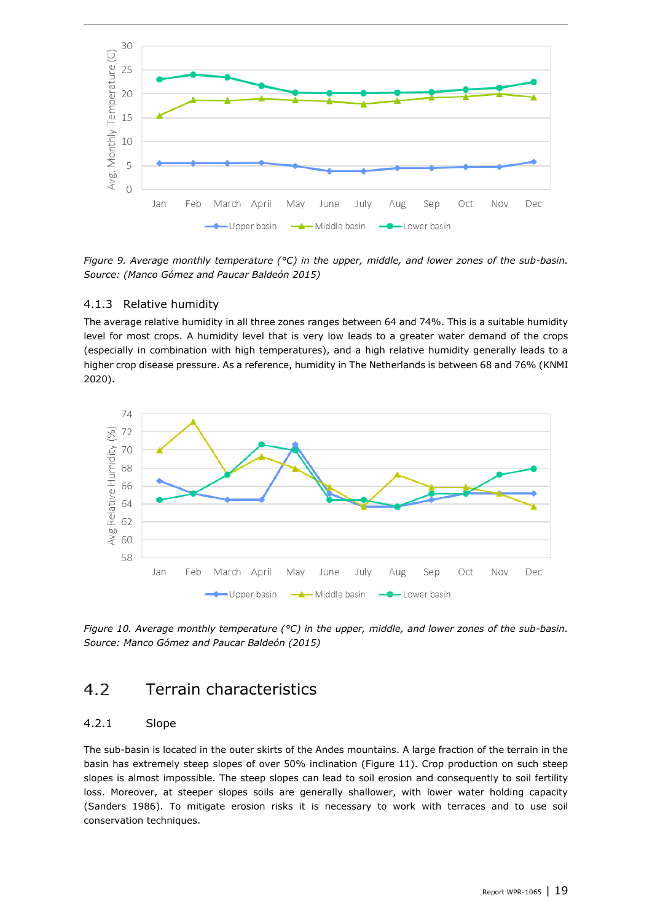

<span id="page-18-3"></span>*Figure 9. Average monthly temperature (°C) in the upper, middle, and lower zones of the sub-basin. Source: (Manco Gómez and Paucar Baldeón 2015)*

#### <span id="page-18-0"></span>4.1.3 Relative humidity

The average relative humidity in all three zones ranges between 64 and 74%. This is a suitable humidity level for most crops. A humidity level that is very low leads to a greater water demand of the crops (especially in combination with high temperatures), and a high relative humidity generally leads to a higher crop disease pressure. As a reference, humidity in The Netherlands is between 68 and 76% (KNMI 2020).



<span id="page-18-1"></span>*Figure 10. Average monthly temperature (°C) in the upper, middle, and lower zones of the sub-basin. Source: Manco Gómez and Paucar Baldeón (2015)*

#### Terrain characteristics  $4.2$

#### <span id="page-18-2"></span>4.2.1 Slope

The sub-basin is located in the outer skirts of the Andes mountains. A large fraction of the terrain in the basin has extremely steep slopes of over 50% inclination [\(Figure 11\)](#page-19-1). Crop production on such steep slopes is almost impossible. The steep slopes can lead to soil erosion and consequently to soil fertility loss. Moreover, at steeper slopes soils are generally shallower, with lower water holding capacity (Sanders 1986). To mitigate erosion risks it is necessary to work with terraces and to use soil conservation techniques.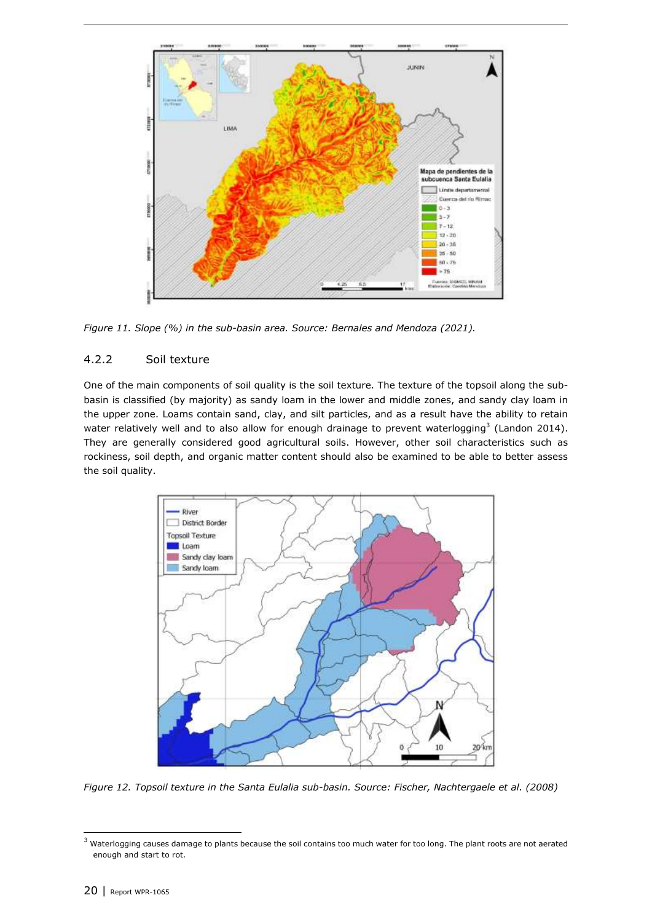

<span id="page-19-1"></span><span id="page-19-0"></span>*Figure 11. Slope (%) in the sub-basin area. Source: Bernales and Mendoza (2021).* 

#### 4.2.2 Soil texture

One of the main components of soil quality is the soil texture. The texture of the topsoil along the subbasin is classified (by majority) as sandy loam in the lower and middle zones, and sandy clay loam in the upper zone. Loams contain sand, clay, and silt particles, and as a result have the ability to retain water relatively well and to also allow for enough drainage to prevent waterlogging<sup>3</sup> (Landon 2014). They are generally considered good agricultural soils. However, other soil characteristics such as rockiness, soil depth, and organic matter content should also be examined to be able to better assess the soil quality.



*Figure 12. Topsoil texture in the Santa Eulalia sub-basin. Source: Fischer, Nachtergaele et al. (2008)*

 $3$  Waterlogging causes damage to plants because the soil contains too much water for too long. The plant roots are not aerated enough and start to rot.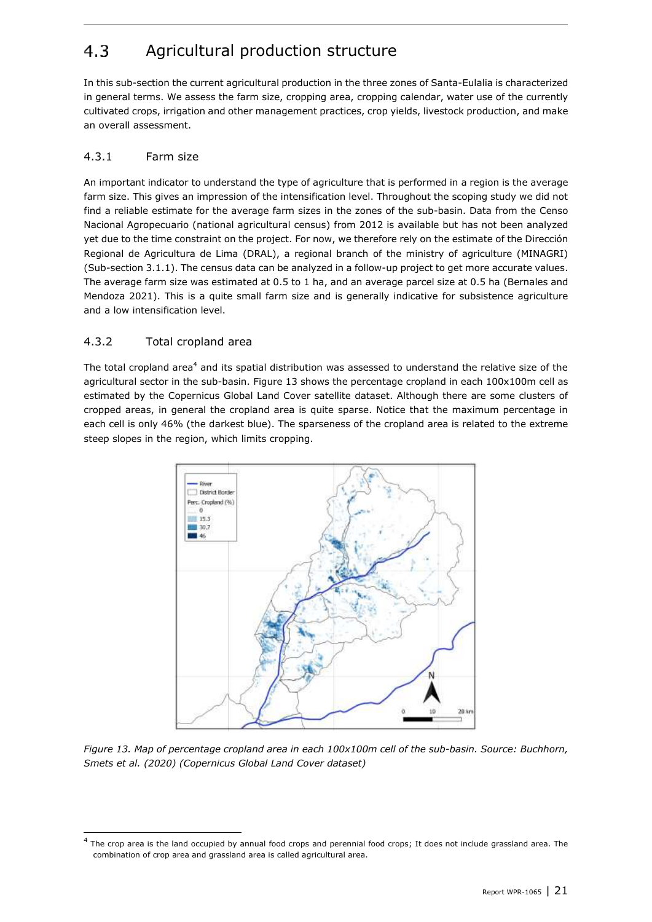#### <span id="page-20-0"></span> $4.3$ Agricultural production structure

In this sub-section the current agricultural production in the three zones of Santa-Eulalia is characterized in general terms. We assess the farm size, cropping area, cropping calendar, water use of the currently cultivated crops, irrigation and other management practices, crop yields, livestock production, and make an overall assessment.

## <span id="page-20-1"></span>4.3.1 Farm size

An important indicator to understand the type of agriculture that is performed in a region is the average farm size. This gives an impression of the intensification level. Throughout the scoping study we did not find a reliable estimate for the average farm sizes in the zones of the sub-basin. Data from the Censo Nacional Agropecuario (national agricultural census) from 2012 is available but has not been analyzed yet due to the time constraint on the project. For now, we therefore rely on the estimate of the Dirección Regional de Agricultura de Lima (DRAL), a regional branch of the ministry of agriculture (MINAGRI) (Sub-section 3.1.1). The census data can be analyzed in a follow-up project to get more accurate values. The average farm size was estimated at 0.5 to 1 ha, and an average parcel size at 0.5 ha (Bernales and Mendoza 2021). This is a quite small farm size and is generally indicative for subsistence agriculture and a low intensification level.

### <span id="page-20-2"></span>4.3.2 Total cropland area

The total cropland area<sup>4</sup> and its spatial distribution was assessed to understand the relative size of the agricultural sector in the sub-basin. [Figure 13](#page-20-3) shows the percentage cropland in each 100x100m cell as estimated by the Copernicus Global Land Cover satellite dataset. Although there are some clusters of cropped areas, in general the cropland area is quite sparse. Notice that the maximum percentage in each cell is only 46% (the darkest blue). The sparseness of the cropland area is related to the extreme steep slopes in the region, which limits cropping.



<span id="page-20-3"></span>*Figure 13. Map of percentage cropland area in each 100x100m cell of the sub-basin. Source: Buchhorn, Smets et al. (2020) (Copernicus Global Land Cover dataset)*

<sup>4</sup> The crop area is the land occupied by annual food crops and perennial food crops; It does not include grassland area. The combination of crop area and grassland area is called agricultural area.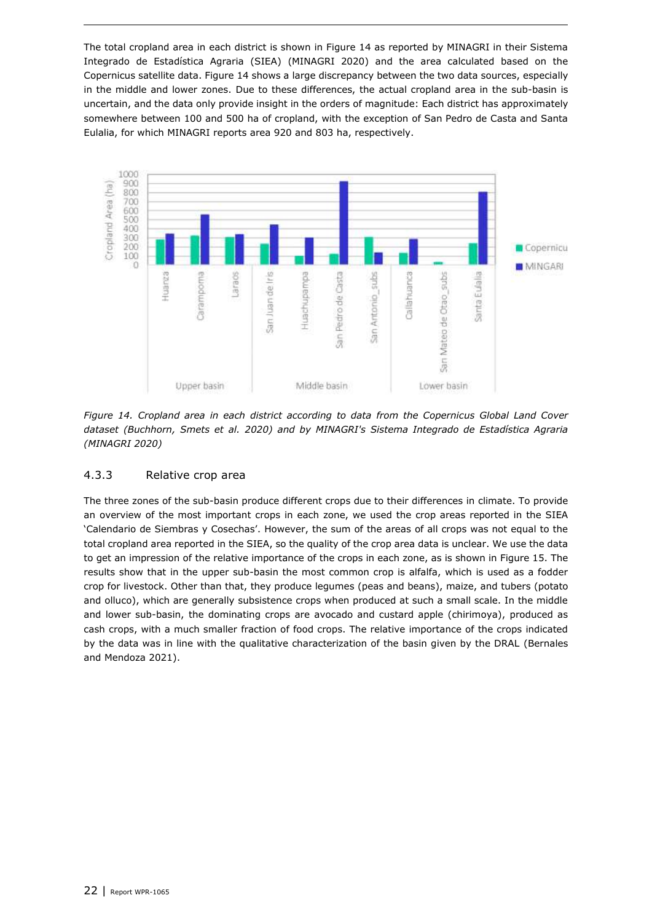The total cropland area in each district is shown in [Figure 14](#page-21-1) as reported by MINAGRI in their Sistema Integrado de Estadística Agraria (SIEA) (MINAGRI 2020) and the area calculated based on the Copernicus satellite data. [Figure 14](#page-21-1) shows a large discrepancy between the two data sources, especially in the middle and lower zones. Due to these differences, the actual cropland area in the sub-basin is uncertain, and the data only provide insight in the orders of magnitude: Each district has approximately somewhere between 100 and 500 ha of cropland, with the exception of San Pedro de Casta and Santa Eulalia, for which MINAGRI reports area 920 and 803 ha, respectively.



<span id="page-21-1"></span>*Figure 14. Cropland area in each district according to data from the Copernicus Global Land Cover dataset (Buchhorn, Smets et al. 2020) and by MINAGRI's Sistema Integrado de Estadística Agraria (MINAGRI 2020)*

#### <span id="page-21-0"></span>4.3.3 Relative crop area

The three zones of the sub-basin produce different crops due to their differences in climate. To provide an overview of the most important crops in each zone, we used the crop areas reported in the SIEA 'Calendario de Siembras y Cosechas'. However, the sum of the areas of all crops was not equal to the total cropland area reported in the SIEA, so the quality of the crop area data is unclear. We use the data to get an impression of the relative importance of the crops in each zone, as is shown in [Figure 15.](#page-22-1) The results show that in the upper sub-basin the most common crop is alfalfa, which is used as a fodder crop for livestock. Other than that, they produce legumes (peas and beans), maize, and tubers (potato and olluco), which are generally subsistence crops when produced at such a small scale. In the middle and lower sub-basin, the dominating crops are avocado and custard apple (chirimoya), produced as cash crops, with a much smaller fraction of food crops. The relative importance of the crops indicated by the data was in line with the qualitative characterization of the basin given by the DRAL (Bernales and Mendoza 2021).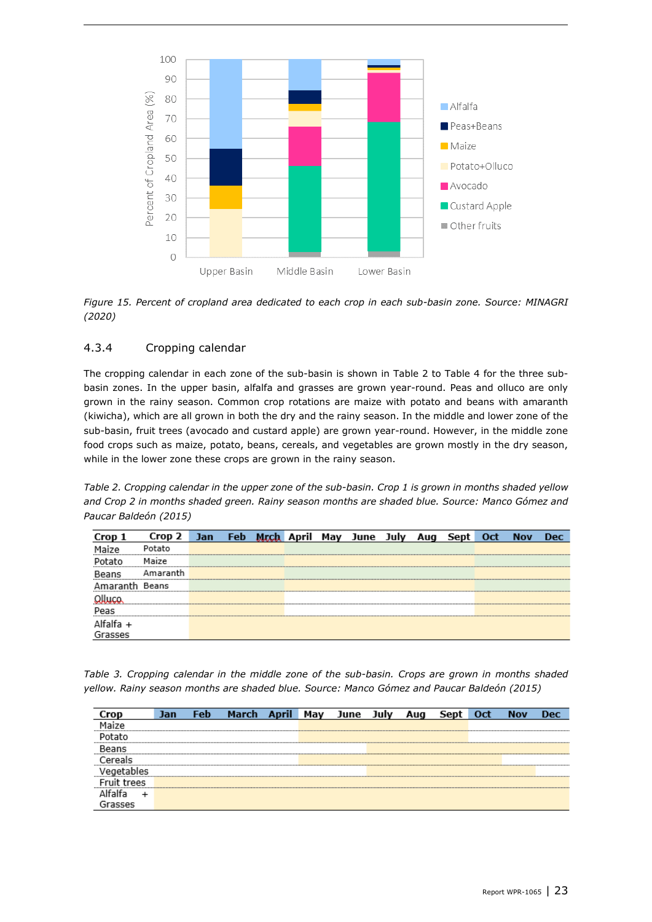

<span id="page-22-1"></span>*Figure 15. Percent of cropland area dedicated to each crop in each sub-basin zone. Source: MINAGRI (2020)*

#### <span id="page-22-0"></span>4.3.4 Cropping calendar

The cropping calendar in each zone of the sub-basin is shown in [Table 2](#page-22-2) to [Table 4](#page-23-1) for the three subbasin zones. In the upper basin, alfalfa and grasses are grown year-round. Peas and olluco are only grown in the rainy season. Common crop rotations are maize with potato and beans with amaranth (kiwicha), which are all grown in both the dry and the rainy season. In the middle and lower zone of the sub-basin, fruit trees (avocado and custard apple) are grown year-round. However, in the middle zone food crops such as maize, potato, beans, cereals, and vegetables are grown mostly in the dry season, while in the lower zone these crops are grown in the rainy season.

<span id="page-22-2"></span>*Table 2. Cropping calendar in the upper zone of the sub-basin. Crop 1 is grown in months shaded yellow and Crop 2 in months shaded green. Rainy season months are shaded blue. Source: Manco Gómez and Paucar Baldeón (2015)*

|           | Crop 2   | Jan | Feb |  | Mrch April May June July | Aug | Sept | Oct | <b>Nov</b> | Dec. |
|-----------|----------|-----|-----|--|--------------------------|-----|------|-----|------------|------|
|           | Potato   |     |     |  |                          |     |      |     |            |      |
|           | Maize    |     |     |  |                          |     |      |     |            |      |
| Beans     | Amaranth |     |     |  |                          |     |      |     |            |      |
|           | Beans    |     |     |  |                          |     |      |     |            |      |
|           |          |     |     |  |                          |     |      |     |            |      |
| Peas      |          |     |     |  |                          |     |      |     |            |      |
| Alfalfa + |          |     |     |  |                          |     |      |     |            |      |
| Grasses   |          |     |     |  |                          |     |      |     |            |      |

*Table 3. Cropping calendar in the middle zone of the sub-basin. Crops are grown in months shaded yellow. Rainy season months are shaded blue. Source: Manco Gómez and Paucar Baldeón (2015)*

|         | Jan | Feb |  | Mav | June | Aua | Sep | Oct | Nov | Dec |
|---------|-----|-----|--|-----|------|-----|-----|-----|-----|-----|
|         |     |     |  |     |      |     |     |     |     |     |
|         |     |     |  |     |      |     |     |     |     |     |
|         |     |     |  |     |      |     |     |     |     |     |
|         |     |     |  |     |      |     |     |     |     |     |
|         |     |     |  |     |      |     |     |     |     |     |
| r trees |     |     |  |     |      |     |     |     |     |     |
|         |     |     |  |     |      |     |     |     |     |     |
| песает  |     |     |  |     |      |     |     |     |     |     |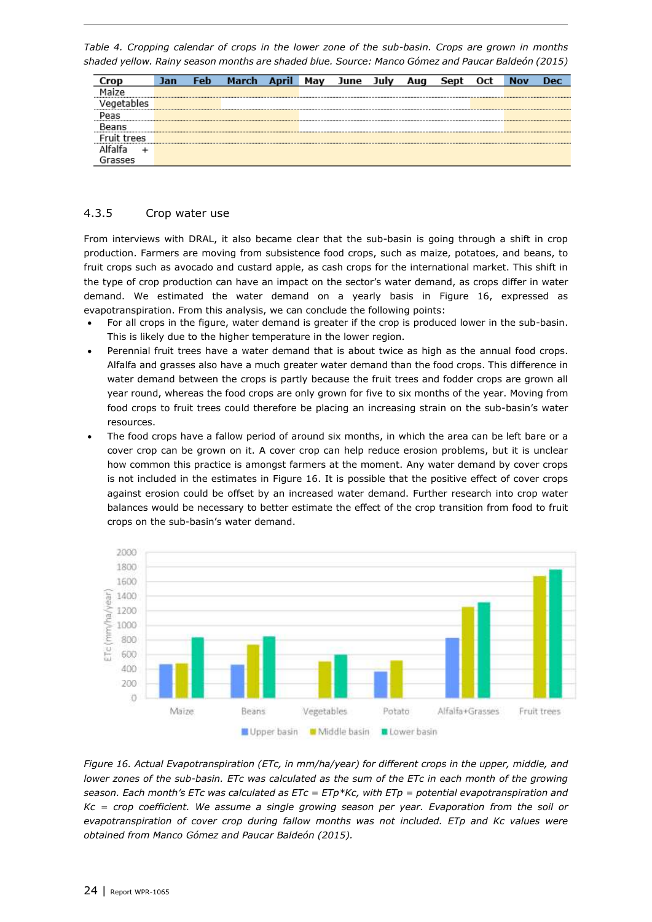<span id="page-23-1"></span>*Table 4. Cropping calendar of crops in the lower zone of the sub-basin. Crops are grown in months shaded yellow. Rainy season months are shaded blue. Source: Manco Gómez and Paucar Baldeón (2015)*

|           | Jan | -en | March | Mav | June | JUI) | AUC | Sept | Oct | <b>Nov</b> | Dec |
|-----------|-----|-----|-------|-----|------|------|-----|------|-----|------------|-----|
|           |     |     |       |     |      |      |     |      |     |            |     |
| uetables  |     |     |       |     |      |      |     |      |     |            |     |
| Peas      |     |     |       |     |      |      |     |      |     |            |     |
| Reans     |     |     |       |     |      |      |     |      |     |            |     |
| uit trees |     |     |       |     |      |      |     |      |     |            |     |
|           |     |     |       |     |      |      |     |      |     |            |     |
| accor.    |     |     |       |     |      |      |     |      |     |            |     |

#### <span id="page-23-0"></span>4.3.5 Crop water use

From interviews with DRAL, it also became clear that the sub-basin is going through a shift in crop production. Farmers are moving from subsistence food crops, such as maize, potatoes, and beans, to fruit crops such as avocado and custard apple, as cash crops for the international market. This shift in the type of crop production can have an impact on the sector's water demand, as crops differ in water demand. We estimated the water demand on a yearly basis in [Figure 16,](#page-23-2) expressed as evapotranspiration. From this analysis, we can conclude the following points:

- For all crops in the figure, water demand is greater if the crop is produced lower in the sub-basin. This is likely due to the higher temperature in the lower region.
- Perennial fruit trees have a water demand that is about twice as high as the annual food crops. Alfalfa and grasses also have a much greater water demand than the food crops. This difference in water demand between the crops is partly because the fruit trees and fodder crops are grown all year round, whereas the food crops are only grown for five to six months of the year. Moving from food crops to fruit trees could therefore be placing an increasing strain on the sub-basin's water resources.
- The food crops have a fallow period of around six months, in which the area can be left bare or a cover crop can be grown on it. A cover crop can help reduce erosion problems, but it is unclear how common this practice is amongst farmers at the moment. Any water demand by cover crops is not included in the estimates in [Figure 16.](#page-23-2) It is possible that the positive effect of cover crops against erosion could be offset by an increased water demand. Further research into crop water balances would be necessary to better estimate the effect of the crop transition from food to fruit crops on the sub-basin's water demand.



<span id="page-23-2"></span>*Figure 16. Actual Evapotranspiration (ETc, in mm/ha/year) for different crops in the upper, middle, and lower zones of the sub-basin. ETc was calculated as the sum of the ETc in each month of the growing season. Each month's ETc was calculated as ETc = ETp\*Kc, with ETp = potential evapotranspiration and Kc = crop coefficient. We assume a single growing season per year. Evaporation from the soil or evapotranspiration of cover crop during fallow months was not included. ETp and Kc values were obtained from Manco Gómez and Paucar Baldeón (2015).*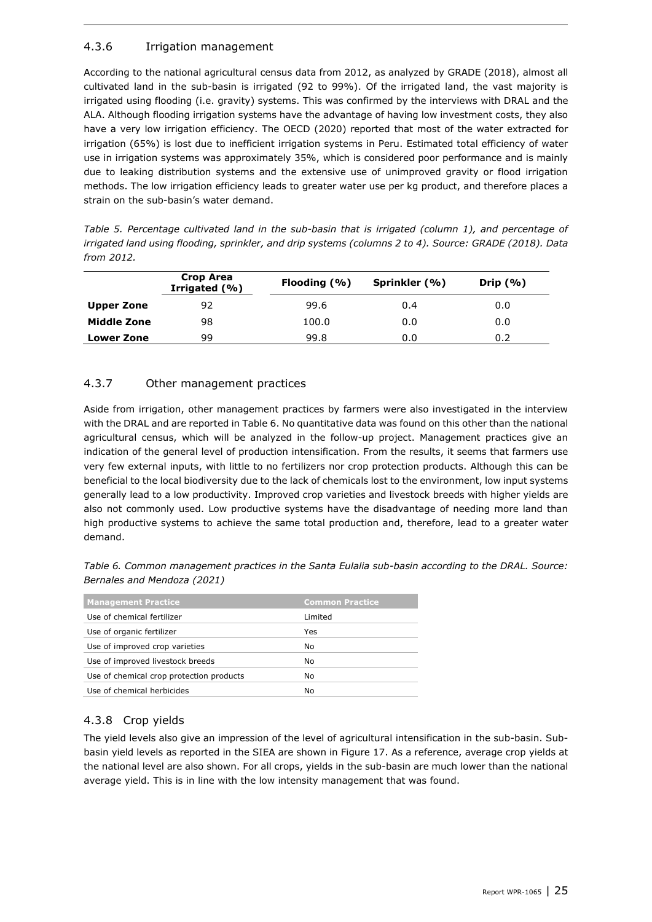### <span id="page-24-0"></span>4.3.6 Irrigation management

According to the national agricultural census data from 2012, as analyzed by GRADE (2018), almost all cultivated land in the sub-basin is irrigated (92 to 99%). Of the irrigated land, the vast majority is irrigated using flooding (i.e. gravity) systems. This was confirmed by the interviews with DRAL and the ALA. Although flooding irrigation systems have the advantage of having low investment costs, they also have a very low irrigation efficiency. The OECD (2020) reported that most of the water extracted for irrigation (65%) is lost due to inefficient irrigation systems in Peru. Estimated total efficiency of water use in irrigation systems was approximately 35%, which is considered poor performance and is mainly due to leaking distribution systems and the extensive use of unimproved gravity or flood irrigation methods. The low irrigation efficiency leads to greater water use per kg product, and therefore places a strain on the sub-basin's water demand.

| Table 5. Percentage cultivated land in the sub-basin that is irrigated (column 1), and percentage of    |
|---------------------------------------------------------------------------------------------------------|
| irrigated land using flooding, sprinkler, and drip systems (columns 2 to 4). Source: GRADE (2018). Data |
| from 2012.                                                                                              |

|                   | Crop Area<br>Irrigated (%) | Flooding $(% )$ | Sprinkler (%) | Drip $(%$ |
|-------------------|----------------------------|-----------------|---------------|-----------|
| Upper Zone        | 92                         | 99.6            | 0.4           | 0.0       |
| Middle Zone       | 98                         | 100.0           | 0.0           | 0.0       |
| <b>Lower Zone</b> | 99                         | 99.8            | 0.0           | 0.2       |

#### <span id="page-24-1"></span>4.3.7 Other management practices

Aside from irrigation, other management practices by farmers were also investigated in the interview with the DRAL and are reported i[n Table 6.](#page-24-3) No quantitative data was found on this other than the national agricultural census, which will be analyzed in the follow-up project. Management practices give an indication of the general level of production intensification. From the results, it seems that farmers use very few external inputs, with little to no fertilizers nor crop protection products. Although this can be beneficial to the local biodiversity due to the lack of chemicals lost to the environment, low input systems generally lead to a low productivity. Improved crop varieties and livestock breeds with higher yields are also not commonly used. Low productive systems have the disadvantage of needing more land than high productive systems to achieve the same total production and, therefore, lead to a greater water demand.

<span id="page-24-3"></span>

|                             | Table 6. Common management practices in the Santa Eulalia sub-basin according to the DRAL. Source: |  |  |  |  |
|-----------------------------|----------------------------------------------------------------------------------------------------|--|--|--|--|
| Bernales and Mendoza (2021) |                                                                                                    |  |  |  |  |

| <b>Management Practice</b>               | <b>Common Practice</b> |
|------------------------------------------|------------------------|
| Use of chemical fertilizer               | Limited                |
| Use of organic fertilizer                | Yes                    |
| Use of improved crop varieties           | No                     |
| Use of improved livestock breeds         | No                     |
| Use of chemical crop protection products | No                     |
| Use of chemical herbicides               | No                     |

### <span id="page-24-2"></span>4.3.8 Crop yields

The yield levels also give an impression of the level of agricultural intensification in the sub-basin. Subbasin yield levels as reported in the SIEA are shown in [Figure 17.](#page-25-2) As a reference, average crop yields at the national level are also shown. For all crops, yields in the sub-basin are much lower than the national average yield. This is in line with the low intensity management that was found.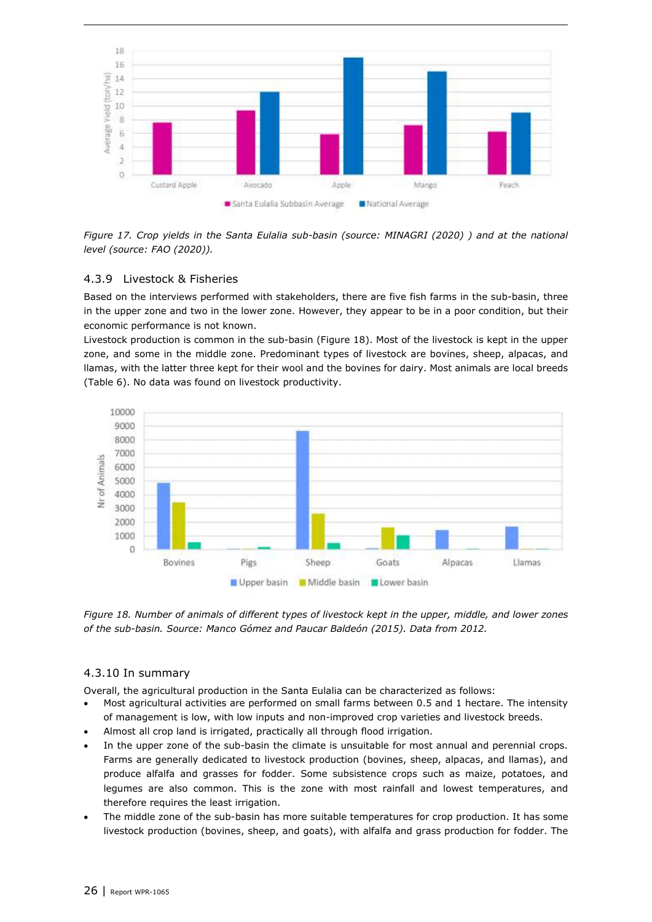

<span id="page-25-2"></span>*Figure 17. Crop yields in the Santa Eulalia sub-basin (source: MINAGRI (2020) ) and at the national level (source: FAO (2020)).* 

#### <span id="page-25-0"></span>4.3.9 Livestock & Fisheries

Based on the interviews performed with stakeholders, there are five fish farms in the sub-basin, three in the upper zone and two in the lower zone. However, they appear to be in a poor condition, but their economic performance is not known.

Livestock production is common in the sub-basin [\(Figure 18\)](#page-25-3). Most of the livestock is kept in the upper zone, and some in the middle zone. Predominant types of livestock are bovines, sheep, alpacas, and llamas, with the latter three kept for their wool and the bovines for dairy. Most animals are local breeds [\(Table 6\)](#page-24-3). No data was found on livestock productivity.



<span id="page-25-3"></span>*Figure 18. Number of animals of different types of livestock kept in the upper, middle, and lower zones of the sub-basin. Source: Manco Gómez and Paucar Baldeón (2015). Data from 2012.* 

#### <span id="page-25-1"></span>4.3.10 In summary

Overall, the agricultural production in the Santa Eulalia can be characterized as follows:

- Most agricultural activities are performed on small farms between 0.5 and 1 hectare. The intensity of management is low, with low inputs and non-improved crop varieties and livestock breeds.
- Almost all crop land is irrigated, practically all through flood irrigation.
- In the upper zone of the sub-basin the climate is unsuitable for most annual and perennial crops. Farms are generally dedicated to livestock production (bovines, sheep, alpacas, and llamas), and produce alfalfa and grasses for fodder. Some subsistence crops such as maize, potatoes, and legumes are also common. This is the zone with most rainfall and lowest temperatures, and therefore requires the least irrigation.
- The middle zone of the sub-basin has more suitable temperatures for crop production. It has some livestock production (bovines, sheep, and goats), with alfalfa and grass production for fodder. The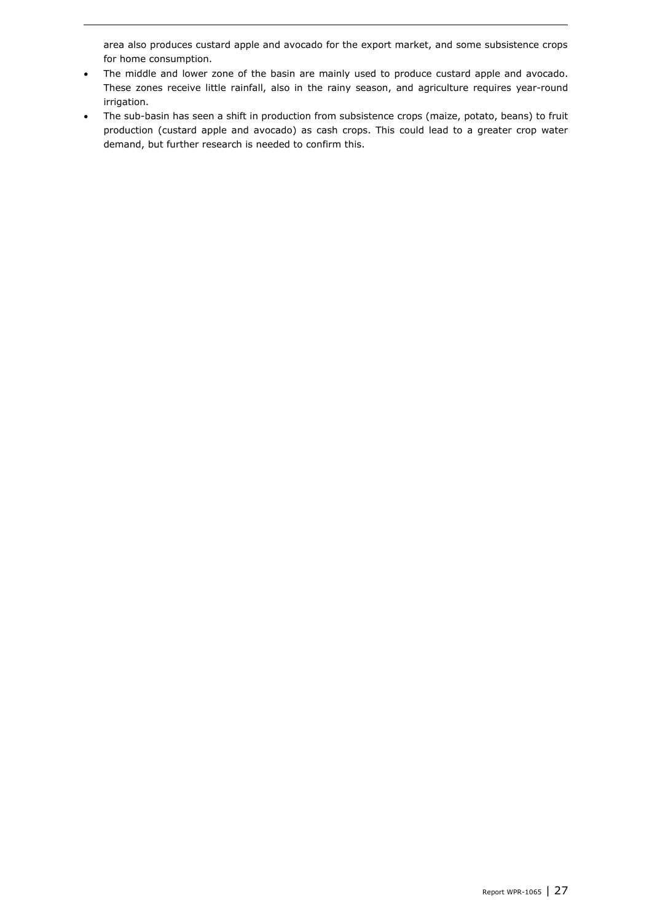area also produces custard apple and avocado for the export market, and some subsistence crops for home consumption.

- The middle and lower zone of the basin are mainly used to produce custard apple and avocado. These zones receive little rainfall, also in the rainy season, and agriculture requires year-round irrigation.
- The sub-basin has seen a shift in production from subsistence crops (maize, potato, beans) to fruit production (custard apple and avocado) as cash crops. This could lead to a greater crop water demand, but further research is needed to confirm this.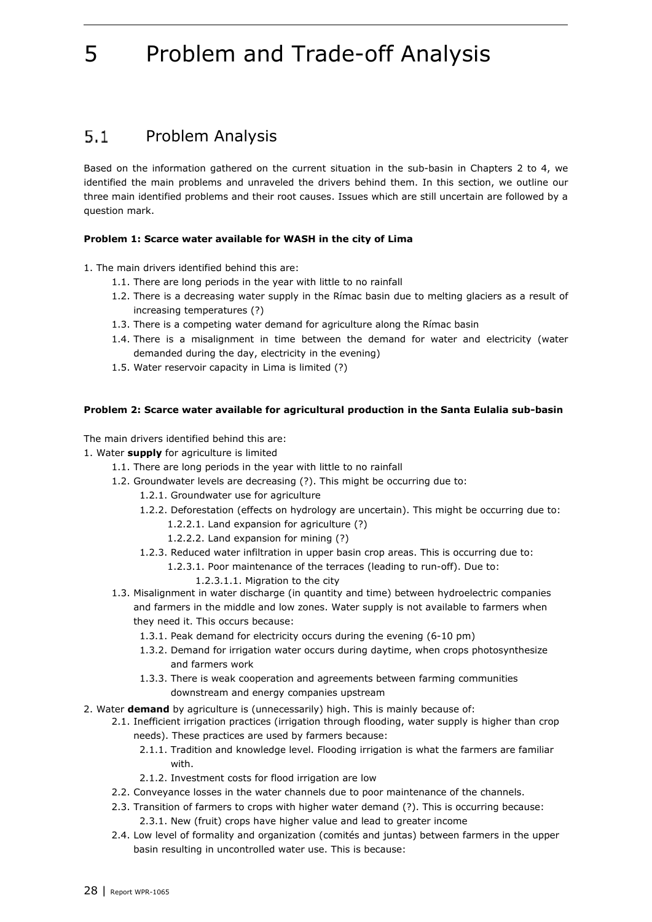## <span id="page-27-1"></span>5 Problem and Trade-off Analysis

#### <span id="page-27-0"></span> $5.1$ Problem Analysis

Based on the information gathered on the current situation in the sub-basin in Chapters [2](#page-8-3) to [4,](#page-17-3) we identified the main problems and unraveled the drivers behind them. In this section, we outline our three main identified problems and their root causes. Issues which are still uncertain are followed by a question mark.

#### **Problem 1: Scarce water available for WASH in the city of Lima**

1. The main drivers identified behind this are:

- 1.1. There are long periods in the year with little to no rainfall
- 1.2. There is a decreasing water supply in the Rímac basin due to melting glaciers as a result of increasing temperatures (?)
- 1.3. There is a competing water demand for agriculture along the Rímac basin
- 1.4. There is a misalignment in time between the demand for water and electricity (water demanded during the day, electricity in the evening)
- 1.5. Water reservoir capacity in Lima is limited (?)

#### **Problem 2: Scarce water available for agricultural production in the Santa Eulalia sub-basin**

The main drivers identified behind this are:

- 1. Water **supply** for agriculture is limited
	- 1.1. There are long periods in the year with little to no rainfall
	- 1.2. Groundwater levels are decreasing (?). This might be occurring due to:
		- 1.2.1. Groundwater use for agriculture
		- 1.2.2. Deforestation (effects on hydrology are uncertain). This might be occurring due to:
			- 1.2.2.1. Land expansion for agriculture (?)
			- 1.2.2.2. Land expansion for mining (?)
		- 1.2.3. Reduced water infiltration in upper basin crop areas. This is occurring due to:
			- 1.2.3.1. Poor maintenance of the terraces (leading to run-off). Due to:
				- 1.2.3.1.1. Migration to the city
	- 1.3. Misalignment in water discharge (in quantity and time) between hydroelectric companies and farmers in the middle and low zones. Water supply is not available to farmers when they need it. This occurs because:
		- 1.3.1. Peak demand for electricity occurs during the evening (6-10 pm)
		- 1.3.2. Demand for irrigation water occurs during daytime, when crops photosynthesize and farmers work
		- 1.3.3. There is weak cooperation and agreements between farming communities downstream and energy companies upstream
- 2. Water **demand** by agriculture is (unnecessarily) high. This is mainly because of:
	- 2.1. Inefficient irrigation practices (irrigation through flooding, water supply is higher than crop needs). These practices are used by farmers because:
		- 2.1.1. Tradition and knowledge level. Flooding irrigation is what the farmers are familiar with.
		- 2.1.2. Investment costs for flood irrigation are low
	- 2.2. Conveyance losses in the water channels due to poor maintenance of the channels.
	- 2.3. Transition of farmers to crops with higher water demand (?). This is occurring because: 2.3.1. New (fruit) crops have higher value and lead to greater income
	- 2.4. Low level of formality and organization (comités and juntas) between farmers in the upper basin resulting in uncontrolled water use. This is because: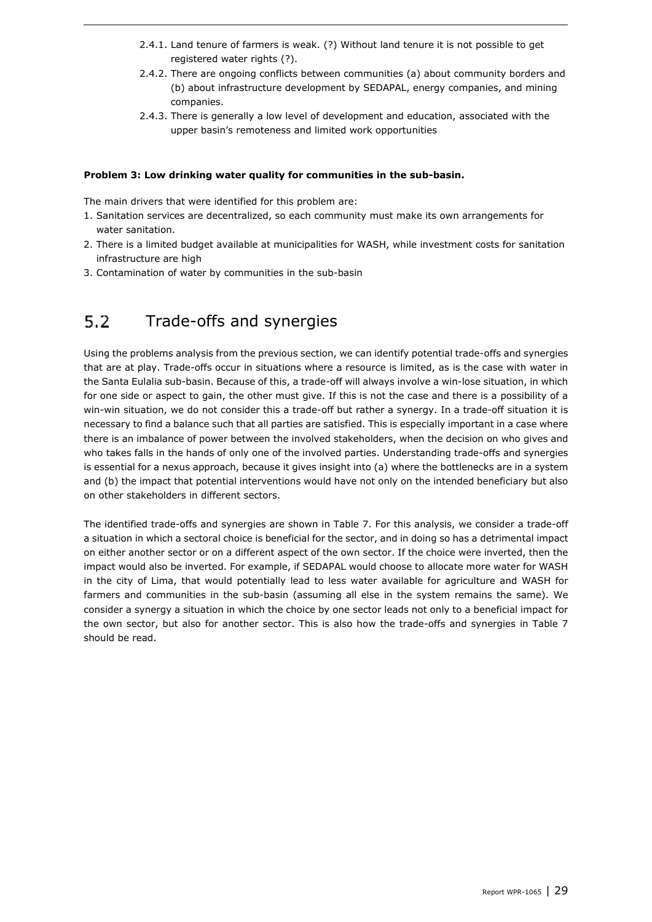- 2.4.1. Land tenure of farmers is weak. (?) Without land tenure it is not possible to get registered water rights (?).
- 2.4.2. There are ongoing conflicts between communities (a) about community borders and (b) about infrastructure development by SEDAPAL, energy companies, and mining companies.
- 2.4.3. There is generally a low level of development and education, associated with the upper basin's remoteness and limited work opportunities

#### **Problem 3: Low drinking water quality for communities in the sub-basin.**

The main drivers that were identified for this problem are:

- 1. Sanitation services are decentralized, so each community must make its own arrangements for water sanitation.
- 2. There is a limited budget available at municipalities for WASH, while investment costs for sanitation infrastructure are high
- <span id="page-28-0"></span>3. Contamination of water by communities in the sub-basin

#### $5.2$ Trade-offs and synergies

Using the problems analysis from the previous section, we can identify potential trade-offs and synergies that are at play. Trade-offs occur in situations where a resource is limited, as is the case with water in the Santa Eulalia sub-basin. Because of this, a trade-off will always involve a win-lose situation, in which for one side or aspect to gain, the other must give. If this is not the case and there is a possibility of a win-win situation, we do not consider this a trade-off but rather a synergy. In a trade-off situation it is necessary to find a balance such that all parties are satisfied. This is especially important in a case where there is an imbalance of power between the involved stakeholders, when the decision on who gives and who takes falls in the hands of only one of the involved parties. Understanding trade-offs and synergies is essential for a nexus approach, because it gives insight into (a) where the bottlenecks are in a system and (b) the impact that potential interventions would have not only on the intended beneficiary but also on other stakeholders in different sectors.

The identified trade-offs and synergies are shown in [Table 7.](#page-29-0) For this analysis, we consider a trade-off a situation in which a sectoral choice is beneficial for the sector, and in doing so has a detrimental impact on either another sector or on a different aspect of the own sector. If the choice were inverted, then the impact would also be inverted. For example, if SEDAPAL would choose to allocate more water for WASH in the city of Lima, that would potentially lead to less water available for agriculture and WASH for farmers and communities in the sub-basin (assuming all else in the system remains the same). We consider a synergy a situation in which the choice by one sector leads not only to a beneficial impact for the own sector, but also for another sector. This is also how the trade-offs and synergies in [Table 7](#page-29-0) should be read.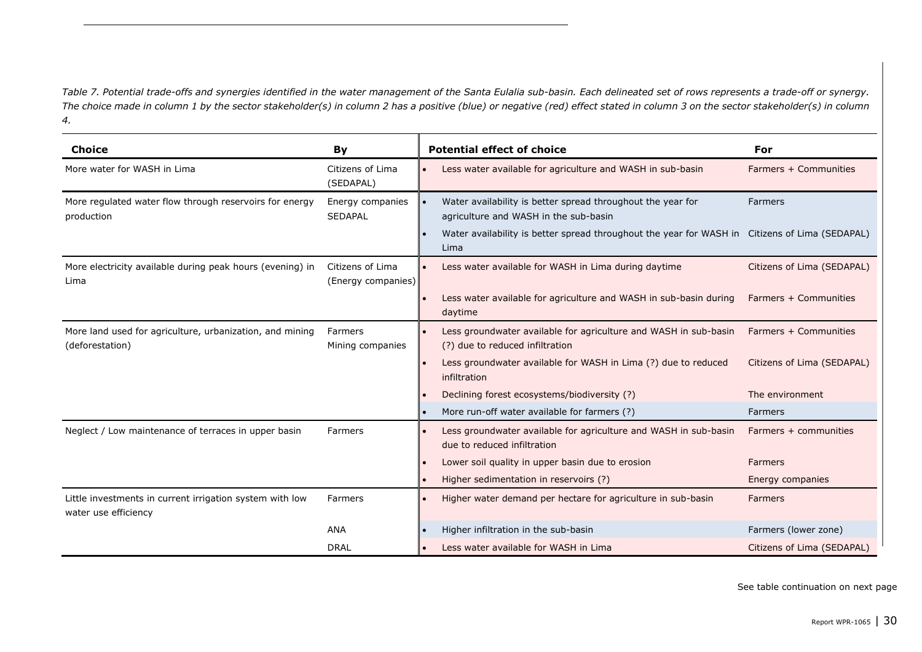*Table 7. Potential trade-offs and synergies identified in the water management of the Santa Eulalia sub-basin. Each delineated set of rows represents a trade-off or synergy. The choice made in column 1 by the sector stakeholder(s) in column 2 has a positive (blue) or negative (red) effect stated in column 3 on the sector stakeholder(s) in column 4.* 

<span id="page-29-0"></span>

| <b>Choice</b>                                                                    | By                                     | <b>Potential effect of choice</b>                                                                      | For                        |
|----------------------------------------------------------------------------------|----------------------------------------|--------------------------------------------------------------------------------------------------------|----------------------------|
| More water for WASH in Lima                                                      | Citizens of Lima<br>(SEDAPAL)          | Less water available for agriculture and WASH in sub-basin                                             | Farmers + Communities      |
| More regulated water flow through reservoirs for energy<br>production            | Energy companies<br><b>SEDAPAL</b>     | Water availability is better spread throughout the year for<br>agriculture and WASH in the sub-basin   | Farmers                    |
|                                                                                  |                                        | Water availability is better spread throughout the year for WASH in Citizens of Lima (SEDAPAL)<br>Lima |                            |
| More electricity available during peak hours (evening) in<br>Lima                | Citizens of Lima<br>(Energy companies) | Less water available for WASH in Lima during daytime                                                   | Citizens of Lima (SEDAPAL) |
|                                                                                  |                                        | Less water available for agriculture and WASH in sub-basin during<br>daytime                           | Farmers + Communities      |
| More land used for agriculture, urbanization, and mining<br>(deforestation)      | Farmers<br>Mining companies            | Less groundwater available for agriculture and WASH in sub-basin<br>(?) due to reduced infiltration    | Farmers + Communities      |
|                                                                                  |                                        | Less groundwater available for WASH in Lima (?) due to reduced<br>infiltration                         | Citizens of Lima (SEDAPAL) |
|                                                                                  |                                        | Declining forest ecosystems/biodiversity (?)                                                           | The environment            |
|                                                                                  |                                        | More run-off water available for farmers (?)                                                           | Farmers                    |
| Neglect / Low maintenance of terraces in upper basin                             | Farmers                                | Less groundwater available for agriculture and WASH in sub-basin<br>due to reduced infiltration        | Farmers + communities      |
|                                                                                  |                                        | Lower soil quality in upper basin due to erosion                                                       | <b>Farmers</b>             |
|                                                                                  |                                        | Higher sedimentation in reservoirs (?)                                                                 | Energy companies           |
| Little investments in current irrigation system with low<br>water use efficiency | Farmers                                | Higher water demand per hectare for agriculture in sub-basin                                           | <b>Farmers</b>             |
|                                                                                  | <b>ANA</b>                             | Higher infiltration in the sub-basin                                                                   | Farmers (lower zone)       |
|                                                                                  | <b>DRAL</b>                            | Less water available for WASH in Lima                                                                  | Citizens of Lima (SEDAPAL) |

See table continuation on next page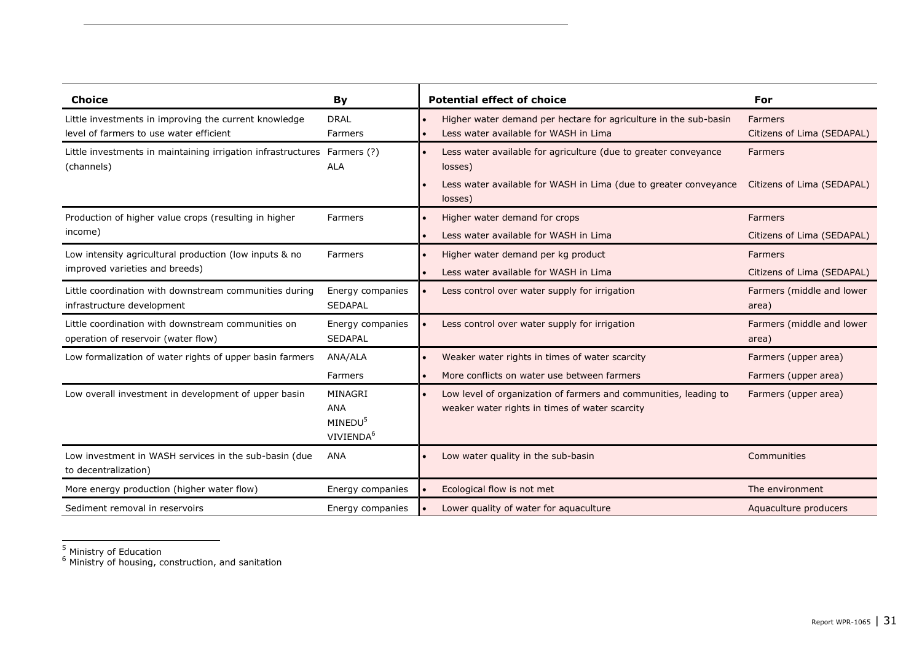| <b>Choice</b>                                                                          | By                                                             | <b>Potential effect of choice</b>                                                                                                                         | For                                          |
|----------------------------------------------------------------------------------------|----------------------------------------------------------------|-----------------------------------------------------------------------------------------------------------------------------------------------------------|----------------------------------------------|
| Little investments in improving the current knowledge                                  | <b>DRAL</b>                                                    | Higher water demand per hectare for agriculture in the sub-basin                                                                                          | <b>Farmers</b>                               |
| level of farmers to use water efficient                                                | <b>Farmers</b>                                                 | Less water available for WASH in Lima                                                                                                                     | Citizens of Lima (SEDAPAL)                   |
| Little investments in maintaining irrigation infrastructures Farmers (?)<br>(channels) | <b>ALA</b>                                                     | Less water available for agriculture (due to greater conveyance<br>losses)<br>Less water available for WASH in Lima (due to greater conveyance<br>losses) | <b>Farmers</b><br>Citizens of Lima (SEDAPAL) |
| Production of higher value crops (resulting in higher                                  | Farmers                                                        | Higher water demand for crops                                                                                                                             | Farmers                                      |
| income)                                                                                |                                                                | Less water available for WASH in Lima                                                                                                                     | Citizens of Lima (SEDAPAL)                   |
| Low intensity agricultural production (low inputs & no                                 | Farmers                                                        | Higher water demand per kg product                                                                                                                        | <b>Farmers</b>                               |
| improved varieties and breeds)                                                         |                                                                | Less water available for WASH in Lima                                                                                                                     | Citizens of Lima (SEDAPAL)                   |
| Little coordination with downstream communities during                                 | Energy companies                                               | Less control over water supply for irrigation                                                                                                             | Farmers (middle and lower                    |
| infrastructure development                                                             | <b>SEDAPAL</b>                                                 |                                                                                                                                                           | area)                                        |
| Little coordination with downstream communities on                                     | Energy companies                                               | Less control over water supply for irrigation                                                                                                             | Farmers (middle and lower                    |
| operation of reservoir (water flow)                                                    | <b>SEDAPAL</b>                                                 |                                                                                                                                                           | area)                                        |
| Low formalization of water rights of upper basin farmers                               | ANA/ALA                                                        | Weaker water rights in times of water scarcity                                                                                                            | Farmers (upper area)                         |
|                                                                                        | Farmers                                                        | More conflicts on water use between farmers                                                                                                               | Farmers (upper area)                         |
| Low overall investment in development of upper basin                                   | MINAGRI<br>ANA<br>MINEDU <sup>5</sup><br>VIVIENDA <sup>6</sup> | Low level of organization of farmers and communities, leading to<br>weaker water rights in times of water scarcity                                        | Farmers (upper area)                         |
| Low investment in WASH services in the sub-basin (due<br>to decentralization)          | <b>ANA</b>                                                     | Low water quality in the sub-basin                                                                                                                        | Communities                                  |
| More energy production (higher water flow)                                             | Energy companies                                               | Ecological flow is not met                                                                                                                                | The environment                              |
| Sediment removal in reservoirs                                                         | Energy companies                                               | Lower quality of water for aquaculture                                                                                                                    | Aquaculture producers                        |

<sup>&</sup>lt;sup>5</sup> Ministry of Education

 $<sup>6</sup>$  Ministry of housing, construction, and sanitation</sup>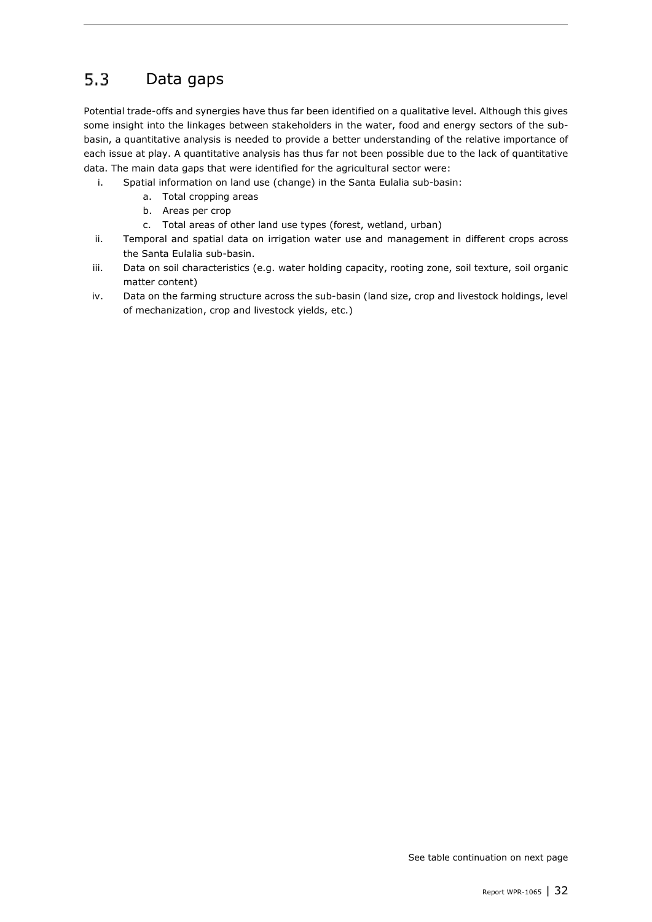#### <span id="page-31-0"></span> $5.3$ Data gaps

Potential trade-offs and synergies have thus far been identified on a qualitative level. Although this gives some insight into the linkages between stakeholders in the water, food and energy sectors of the subbasin, a quantitative analysis is needed to provide a better understanding of the relative importance of each issue at play. A quantitative analysis has thus far not been possible due to the lack of quantitative data. The main data gaps that were identified for the agricultural sector were:

- i. Spatial information on land use (change) in the Santa Eulalia sub-basin:
	- a. Total cropping areas
	- b. Areas per crop
	- c. Total areas of other land use types (forest, wetland, urban)
- ii. Temporal and spatial data on irrigation water use and management in different crops across the Santa Eulalia sub-basin.
- iii. Data on soil characteristics (e.g. water holding capacity, rooting zone, soil texture, soil organic matter content)
- iv. Data on the farming structure across the sub-basin (land size, crop and livestock holdings, level of mechanization, crop and livestock yields, etc.)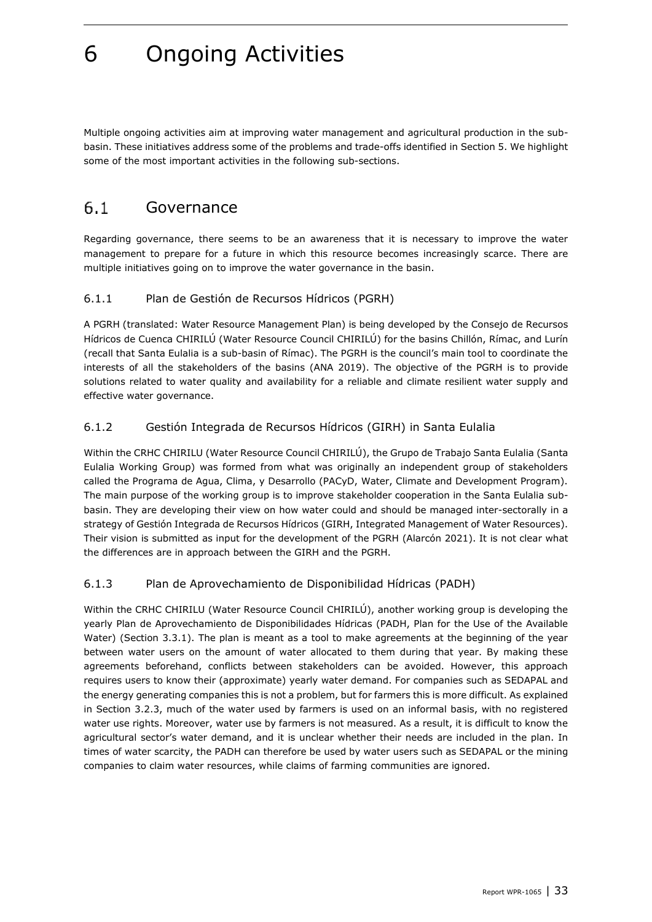## <span id="page-32-4"></span>6 Ongoing Activities

Multiple ongoing activities aim at improving water management and agricultural production in the subbasin. These initiatives address some of the problems and trade-offs identified in Sectio[n 5.](#page-27-1) We highlight some of the most important activities in the following sub-sections.

#### <span id="page-32-0"></span> $6.1$ Governance

Regarding governance, there seems to be an awareness that it is necessary to improve the water management to prepare for a future in which this resource becomes increasingly scarce. There are multiple initiatives going on to improve the water governance in the basin.

#### <span id="page-32-1"></span>6.1.1 Plan de Gestión de Recursos Hídricos (PGRH)

A PGRH (translated: Water Resource Management Plan) is being developed by the Consejo de Recursos Hídricos de Cuenca CHIRILÚ (Water Resource Council CHIRILÚ) for the basins Chillón, Rímac, and Lurín (recall that Santa Eulalia is a sub-basin of Rímac). The PGRH is the council's main tool to coordinate the interests of all the stakeholders of the basins (ANA 2019). The objective of the PGRH is to provide solutions related to water quality and availability for a reliable and climate resilient water supply and effective water governance.

#### <span id="page-32-2"></span>6.1.2 Gestión Integrada de Recursos Hídricos (GIRH) in Santa Eulalia

Within the CRHC CHIRILU (Water Resource Council CHIRILÚ), the Grupo de Trabajo Santa Eulalia (Santa Eulalia Working Group) was formed from what was originally an independent group of stakeholders called the Programa de Agua, Clima, y Desarrollo (PACyD, Water, Climate and Development Program). The main purpose of the working group is to improve stakeholder cooperation in the Santa Eulalia subbasin. They are developing their view on how water could and should be managed inter-sectorally in a strategy of Gestión Integrada de Recursos Hídricos (GIRH, Integrated Management of Water Resources). Their vision is submitted as input for the development of the PGRH (Alarcón 2021). It is not clear what the differences are in approach between the GIRH and the PGRH.

#### <span id="page-32-3"></span>6.1.3 Plan de Aprovechamiento de Disponibilidad Hídricas (PADH)

Within the CRHC CHIRILU (Water Resource Council CHIRILÚ), another working group is developing the yearly Plan de Aprovechamiento de Disponibilidades Hídricas (PADH, Plan for the Use of the Available Water) (Section [3.3.1\)](#page-15-1). The plan is meant as a tool to make agreements at the beginning of the year between water users on the amount of water allocated to them during that year. By making these agreements beforehand, conflicts between stakeholders can be avoided. However, this approach requires users to know their (approximate) yearly water demand. For companies such as SEDAPAL and the energy generating companies this is not a problem, but for farmers this is more difficult. As explained in Section [3.2.3,](#page-14-3) much of the water used by farmers is used on an informal basis, with no registered water use rights. Moreover, water use by farmers is not measured. As a result, it is difficult to know the agricultural sector's water demand, and it is unclear whether their needs are included in the plan. In times of water scarcity, the PADH can therefore be used by water users such as SEDAPAL or the mining companies to claim water resources, while claims of farming communities are ignored.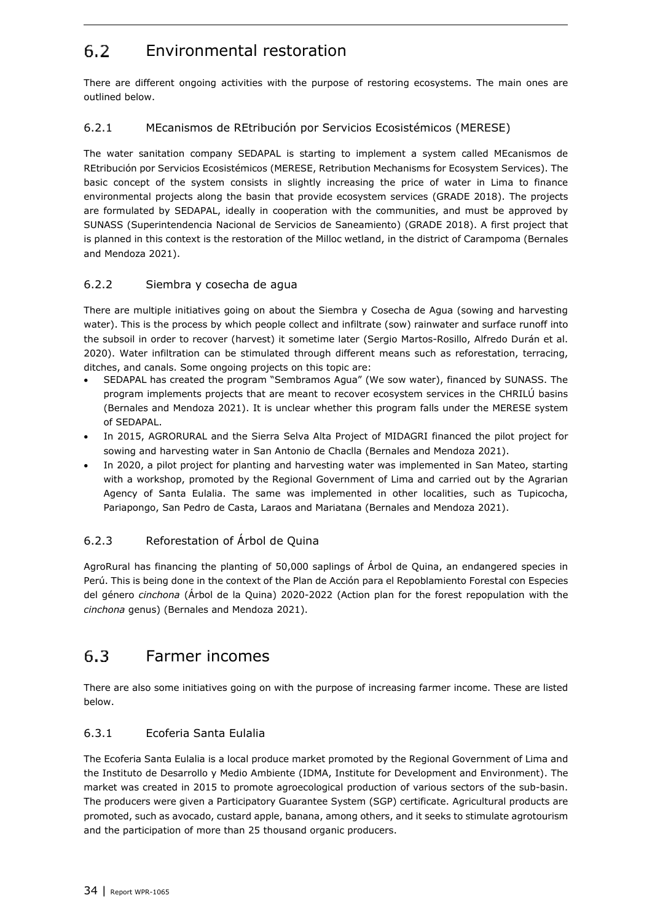#### <span id="page-33-0"></span> $6.2$ Environmental restoration

There are different ongoing activities with the purpose of restoring ecosystems. The main ones are outlined below.

## <span id="page-33-1"></span>6.2.1 MEcanismos de REtribución por Servicios Ecosistémicos (MERESE)

The water sanitation company SEDAPAL is starting to implement a system called MEcanismos de REtribución por Servicios Ecosistémicos (MERESE, Retribution Mechanisms for Ecosystem Services). The basic concept of the system consists in slightly increasing the price of water in Lima to finance environmental projects along the basin that provide ecosystem services (GRADE 2018). The projects are formulated by SEDAPAL, ideally in cooperation with the communities, and must be approved by SUNASS (Superintendencia Nacional de Servicios de Saneamiento) (GRADE 2018). A first project that is planned in this context is the restoration of the Milloc wetland, in the district of Carampoma (Bernales and Mendoza 2021).

### <span id="page-33-2"></span>6.2.2 Siembra y cosecha de agua

There are multiple initiatives going on about the Siembra y Cosecha de Agua (sowing and harvesting water). This is the process by which people collect and infiltrate (sow) rainwater and surface runoff into the subsoil in order to recover (harvest) it sometime later (Sergio Martos-Rosillo, Alfredo Durán et al. 2020). Water infiltration can be stimulated through different means such as reforestation, terracing, ditches, and canals. Some ongoing projects on this topic are:

- SEDAPAL has created the program "Sembramos Agua" (We sow water), financed by SUNASS. The program implements projects that are meant to recover ecosystem services in the CHRILÚ basins (Bernales and Mendoza 2021). It is unclear whether this program falls under the MERESE system of SEDAPAL.
- In 2015, AGRORURAL and the Sierra Selva Alta Project of MIDAGRI financed the pilot project for sowing and harvesting water in San Antonio de Chaclla (Bernales and Mendoza 2021).
- In 2020, a pilot project for planting and harvesting water was implemented in San Mateo, starting with a workshop, promoted by the Regional Government of Lima and carried out by the Agrarian Agency of Santa Eulalia. The same was implemented in other localities, such as Tupicocha, Pariapongo, San Pedro de Casta, Laraos and Mariatana (Bernales and Mendoza 2021).

## <span id="page-33-3"></span>6.2.3 Reforestation of Árbol de Quina

AgroRural has financing the planting of 50,000 saplings of Árbol de Quina, an endangered species in Perú. This is being done in the context of the Plan de Acción para el Repoblamiento Forestal con Especies del género *cinchona* (Árbol de la Quina) 2020-2022 (Action plan for the forest repopulation with the *cinchona* genus) (Bernales and Mendoza 2021).

#### <span id="page-33-4"></span>6.3 Farmer incomes

There are also some initiatives going on with the purpose of increasing farmer income. These are listed below.

### <span id="page-33-5"></span>6.3.1 Ecoferia Santa Eulalia

The Ecoferia Santa Eulalia is a local produce market promoted by the Regional Government of Lima and the Instituto de Desarrollo y Medio Ambiente (IDMA, Institute for Development and Environment). The market was created in 2015 to promote agroecological production of various sectors of the sub-basin. The producers were given a Participatory Guarantee System (SGP) certificate. Agricultural products are promoted, such as avocado, custard apple, banana, among others, and it seeks to stimulate agrotourism and the participation of more than 25 thousand organic producers.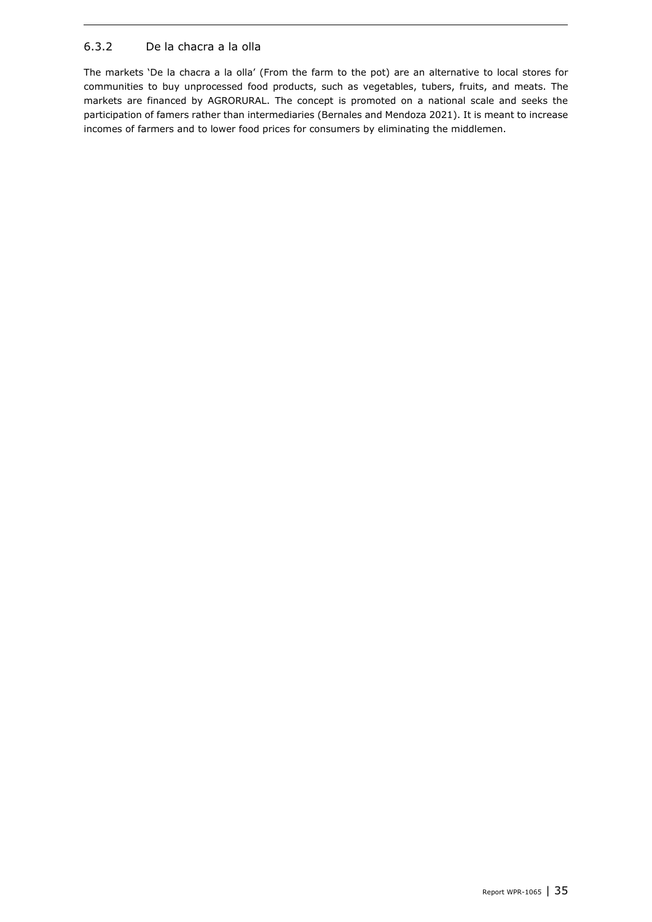## <span id="page-34-0"></span>6.3.2 De la chacra a la olla

The markets 'De la chacra a la olla' (From the farm to the pot) are an alternative to local stores for communities to buy unprocessed food products, such as vegetables, tubers, fruits, and meats. The markets are financed by AGRORURAL. The concept is promoted on a national scale and seeks the participation of famers rather than intermediaries (Bernales and Mendoza 2021). It is meant to increase incomes of farmers and to lower food prices for consumers by eliminating the middlemen.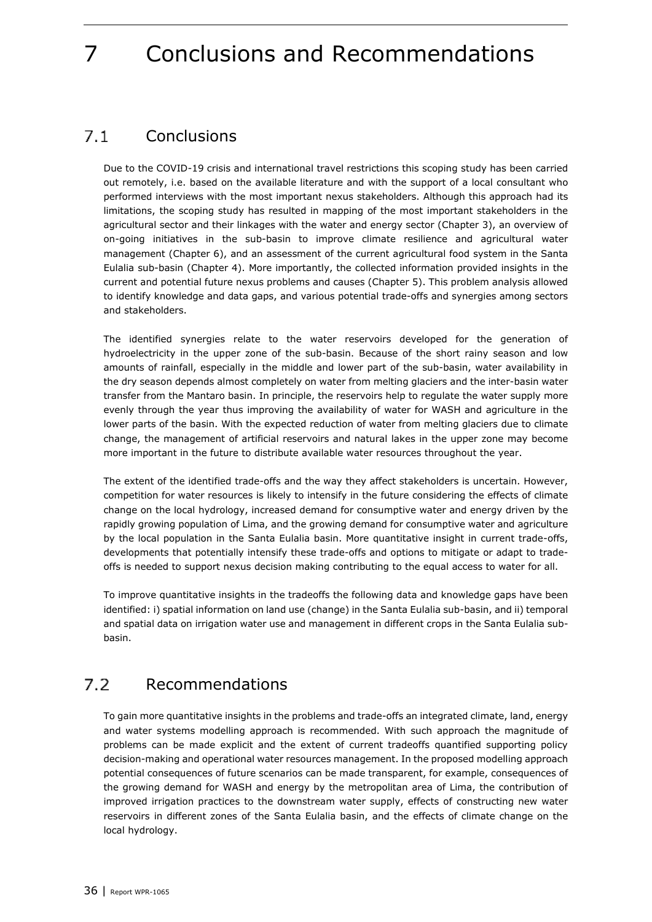# <span id="page-35-2"></span>7 Conclusions and Recommendations

#### <span id="page-35-0"></span> $7.1$ **Conclusions**

Due to the COVID-19 crisis and international travel restrictions this scoping study has been carried out remotely, i.e. based on the available literature and with the support of a local consultant who performed interviews with the most important nexus stakeholders. Although this approach had its limitations, the scoping study has resulted in mapping of the most important stakeholders in the agricultural sector and their linkages with the water and energy sector (Chapter [3\)](#page-12-3), an overview of on-going initiatives in the sub-basin to improve climate resilience and agricultural water management (Chapter 6), and an assessment of the current agricultural food system in the Santa Eulalia sub-basin (Chapter [4\)](#page-17-3). More importantly, the collected information provided insights in the current and potential future nexus problems and causes (Chapter [5\)](#page-27-1). This problem analysis allowed to identify knowledge and data gaps, and various potential trade-offs and synergies among sectors and stakeholders.

The identified synergies relate to the water reservoirs developed for the generation of hydroelectricity in the upper zone of the sub-basin. Because of the short rainy season and low amounts of rainfall, especially in the middle and lower part of the sub-basin, water availability in the dry season depends almost completely on water from melting glaciers and the inter-basin water transfer from the Mantaro basin. In principle, the reservoirs help to regulate the water supply more evenly through the year thus improving the availability of water for WASH and agriculture in the lower parts of the basin. With the expected reduction of water from melting glaciers due to climate change, the management of artificial reservoirs and natural lakes in the upper zone may become more important in the future to distribute available water resources throughout the year.

The extent of the identified trade-offs and the way they affect stakeholders is uncertain. However, competition for water resources is likely to intensify in the future considering the effects of climate change on the local hydrology, increased demand for consumptive water and energy driven by the rapidly growing population of Lima, and the growing demand for consumptive water and agriculture by the local population in the Santa Eulalia basin. More quantitative insight in current trade-offs, developments that potentially intensify these trade-offs and options to mitigate or adapt to tradeoffs is needed to support nexus decision making contributing to the equal access to water for all.

To improve quantitative insights in the tradeoffs the following data and knowledge gaps have been identified: i) spatial information on land use (change) in the Santa Eulalia sub-basin, and ii) temporal and spatial data on irrigation water use and management in different crops in the Santa Eulalia subbasin.

#### <span id="page-35-1"></span> $7.2$ Recommendations

To gain more quantitative insights in the problems and trade-offs an integrated climate, land, energy and water systems modelling approach is recommended. With such approach the magnitude of problems can be made explicit and the extent of current tradeoffs quantified supporting policy decision-making and operational water resources management. In the proposed modelling approach potential consequences of future scenarios can be made transparent, for example, consequences of the growing demand for WASH and energy by the metropolitan area of Lima, the contribution of improved irrigation practices to the downstream water supply, effects of constructing new water reservoirs in different zones of the Santa Eulalia basin, and the effects of climate change on the local hydrology.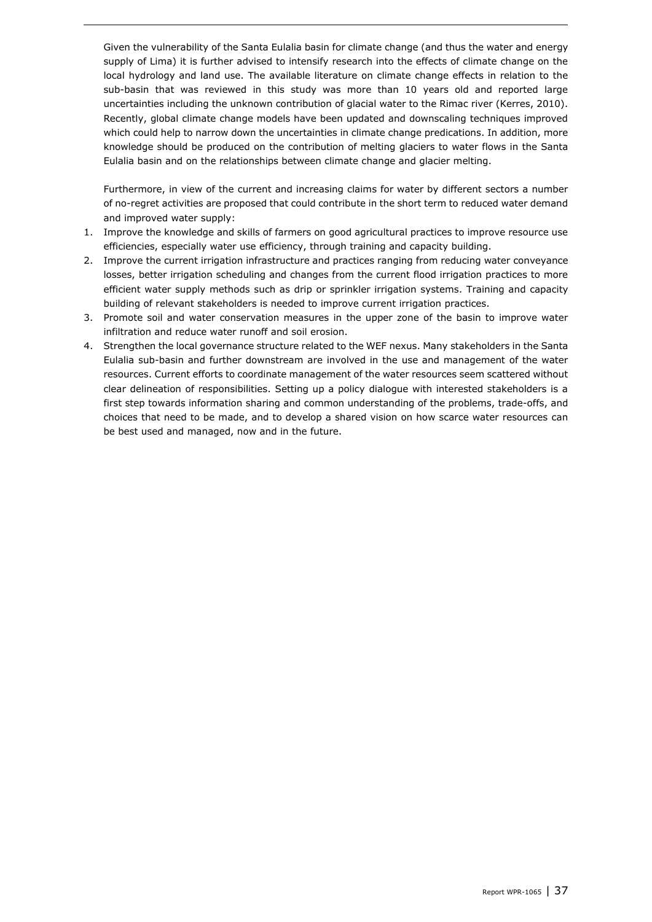Given the vulnerability of the Santa Eulalia basin for climate change (and thus the water and energy supply of Lima) it is further advised to intensify research into the effects of climate change on the local hydrology and land use. The available literature on climate change effects in relation to the sub-basin that was reviewed in this study was more than 10 years old and reported large uncertainties including the unknown contribution of glacial water to the Rimac river (Kerres, 2010). Recently, global climate change models have been updated and downscaling techniques improved which could help to narrow down the uncertainties in climate change predications. In addition, more knowledge should be produced on the contribution of melting glaciers to water flows in the Santa Eulalia basin and on the relationships between climate change and glacier melting.

Furthermore, in view of the current and increasing claims for water by different sectors a number of no-regret activities are proposed that could contribute in the short term to reduced water demand and improved water supply:

- 1. Improve the knowledge and skills of farmers on good agricultural practices to improve resource use efficiencies, especially water use efficiency, through training and capacity building.
- 2. Improve the current irrigation infrastructure and practices ranging from reducing water conveyance losses, better irrigation scheduling and changes from the current flood irrigation practices to more efficient water supply methods such as drip or sprinkler irrigation systems. Training and capacity building of relevant stakeholders is needed to improve current irrigation practices.
- 3. Promote soil and water conservation measures in the upper zone of the basin to improve water infiltration and reduce water runoff and soil erosion.
- 4. Strengthen the local governance structure related to the WEF nexus. Many stakeholders in the Santa Eulalia sub-basin and further downstream are involved in the use and management of the water resources. Current efforts to coordinate management of the water resources seem scattered without clear delineation of responsibilities. Setting up a policy dialogue with interested stakeholders is a first step towards information sharing and common understanding of the problems, trade-offs, and choices that need to be made, and to develop a shared vision on how scarce water resources can be best used and managed, now and in the future.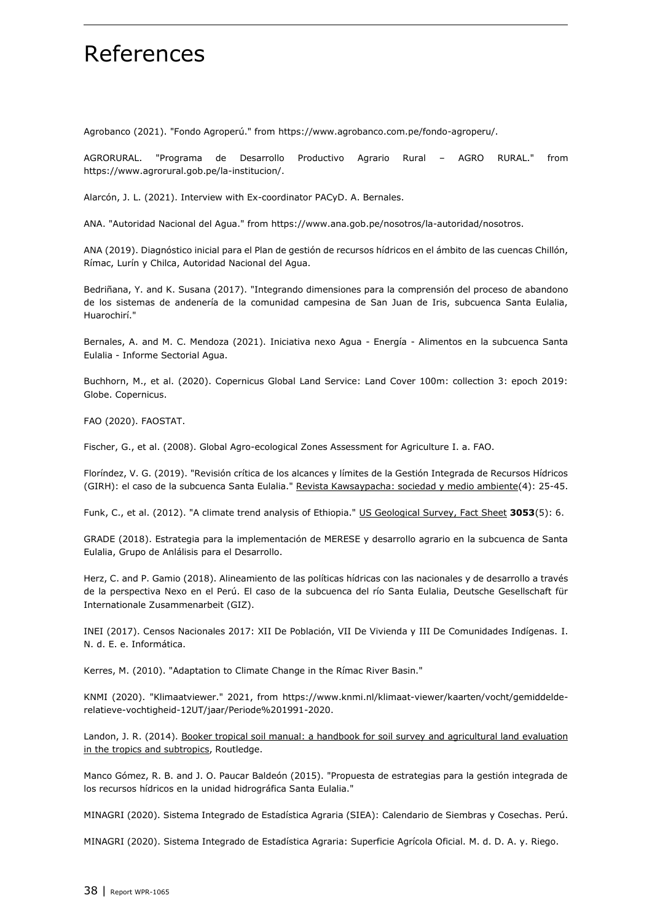## References

Agrobanco (2021). "Fondo Agroperú." from [https://www.agrobanco.com.pe/fondo-agroperu/.](https://www.agrobanco.com.pe/fondo-agroperu/)

AGRORURAL. "Programa de Desarrollo Productivo Agrario Rural – AGRO RURAL." from [https://www.agrorural.gob.pe/la-institucion/.](https://www.agrorural.gob.pe/la-institucion/)

Alarcón, J. L. (2021). Interview with Ex-coordinator PACyD. A. Bernales.

ANA. "Autoridad Nacional del Agua." from [https://www.ana.gob.pe/nosotros/la-autoridad/nosotros.](https://www.ana.gob.pe/nosotros/la-autoridad/nosotros)

ANA (2019). Diagnóstico inicial para el Plan de gestión de recursos hídricos en el ámbito de las cuencas Chillón, Rímac, Lurín y Chilca, Autoridad Nacional del Agua.

Bedriñana, Y. and K. Susana (2017). "Integrando dimensiones para la comprensión del proceso de abandono de los sistemas de andenería de la comunidad campesina de San Juan de Iris, subcuenca Santa Eulalia, Huarochirí."

Bernales, A. and M. C. Mendoza (2021). Iniciativa nexo Agua - Energía - Alimentos en la subcuenca Santa Eulalia - Informe Sectorial Agua.

Buchhorn, M., et al. (2020). Copernicus Global Land Service: Land Cover 100m: collection 3: epoch 2019: Globe. Copernicus.

FAO (2020). FAOSTAT.

Fischer, G., et al. (2008). Global Agro-ecological Zones Assessment for Agriculture I. a. FAO.

Floríndez, V. G. (2019). "Revisión crítica de los alcances y límites de la Gestión Integrada de Recursos Hídricos (GIRH): el caso de la subcuenca Santa Eulalia." Revista Kawsaypacha: sociedad y medio ambiente(4): 25-45.

Funk, C., et al. (2012). "A climate trend analysis of Ethiopia." US Geological Survey, Fact Sheet **3053**(5): 6.

GRADE (2018). Estrategia para la implementación de MERESE y desarrollo agrario en la subcuenca de Santa Eulalia, Grupo de Anlálisis para el Desarrollo.

Herz, C. and P. Gamio (2018). Alineamiento de las políticas hídricas con las nacionales y de desarrollo a través de la perspectiva Nexo en el Perú. El caso de la subcuenca del río Santa Eulalia, Deutsche Gesellschaft für Internationale Zusammenarbeit (GIZ).

INEI (2017). Censos Nacionales 2017: XII De Población, VII De Vivienda y III De Comunidades Indígenas. I. N. d. E. e. Informática.

Kerres, M. (2010). "Adaptation to Climate Change in the Rímac River Basin."

KNMI (2020). "Klimaatviewer." 2021, from [https://www.knmi.nl/klimaat-viewer/kaarten/vocht/gemiddelde](https://www.knmi.nl/klimaat-viewer/kaarten/vocht/gemiddelde-relatieve-vochtigheid-12UT/jaar/Periode%201991-2020)[relatieve-vochtigheid-12UT/jaar/Periode%201991-2020.](https://www.knmi.nl/klimaat-viewer/kaarten/vocht/gemiddelde-relatieve-vochtigheid-12UT/jaar/Periode%201991-2020)

Landon, J. R. (2014). Booker tropical soil manual: a handbook for soil survey and agricultural land evaluation in the tropics and subtropics, Routledge.

Manco Gómez, R. B. and J. O. Paucar Baldeón (2015). "Propuesta de estrategias para la gestión integrada de los recursos hídricos en la unidad hidrográfica Santa Eulalia."

MINAGRI (2020). Sistema Integrado de Estadística Agraria (SIEA): Calendario de Siembras y Cosechas. Perú.

MINAGRI (2020). Sistema Integrado de Estadística Agraria: Superficie Agrícola Oficial. M. d. D. A. y. Riego.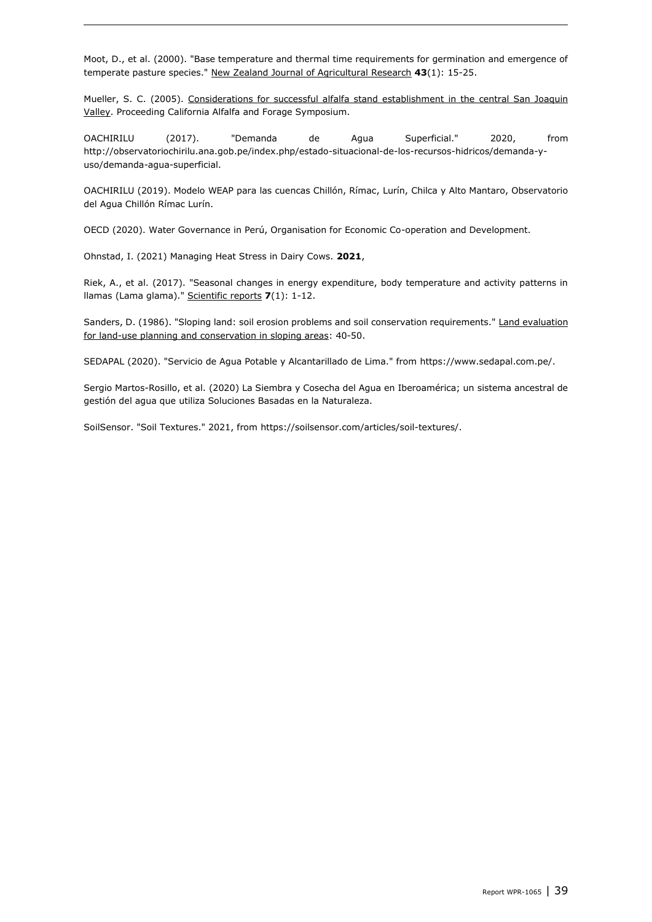Moot, D., et al. (2000). "Base temperature and thermal time requirements for germination and emergence of temperate pasture species." New Zealand Journal of Agricultural Research **43**(1): 15-25.

Mueller, S. C. (2005). Considerations for successful alfalfa stand establishment in the central San Joaquin Valley. Proceeding California Alfalfa and Forage Symposium.

OACHIRILU (2017). "Demanda de Agua Superficial." 2020, from [http://observatoriochirilu.ana.gob.pe/index.php/estado-situacional-de-los-recursos-hidricos/demanda-y](http://observatoriochirilu.ana.gob.pe/index.php/estado-situacional-de-los-recursos-hidricos/demanda-y-uso/demanda-agua-superficial)[uso/demanda-agua-superficial.](http://observatoriochirilu.ana.gob.pe/index.php/estado-situacional-de-los-recursos-hidricos/demanda-y-uso/demanda-agua-superficial)

OACHIRILU (2019). Modelo WEAP para las cuencas Chillón, Rímac, Lurín, Chilca y Alto Mantaro, Observatorio del Agua Chillón Rímac Lurín.

OECD (2020). Water Governance in Perú, Organisation for Economic Co-operation and Development.

Ohnstad, I. (2021) Managing Heat Stress in Dairy Cows. **2021**,

Riek, A., et al. (2017). "Seasonal changes in energy expenditure, body temperature and activity patterns in llamas (Lama glama)." Scientific reports **7**(1): 1-12.

Sanders, D. (1986). "Sloping land: soil erosion problems and soil conservation requirements." Land evaluation for land-use planning and conservation in sloping areas: 40-50.

SEDAPAL (2020). "Servicio de Agua Potable y Alcantarillado de Lima." from [https://www.sedapal.com.pe/.](https://www.sedapal.com.pe/)

Sergio Martos-Rosillo, et al. (2020) La Siembra y Cosecha del Agua en Iberoamérica; un sistema ancestral de gestión del agua que utiliza Soluciones Basadas en la Naturaleza.

SoilSensor. "Soil Textures." 2021, from [https://soilsensor.com/articles/soil-textures/.](https://soilsensor.com/articles/soil-textures/)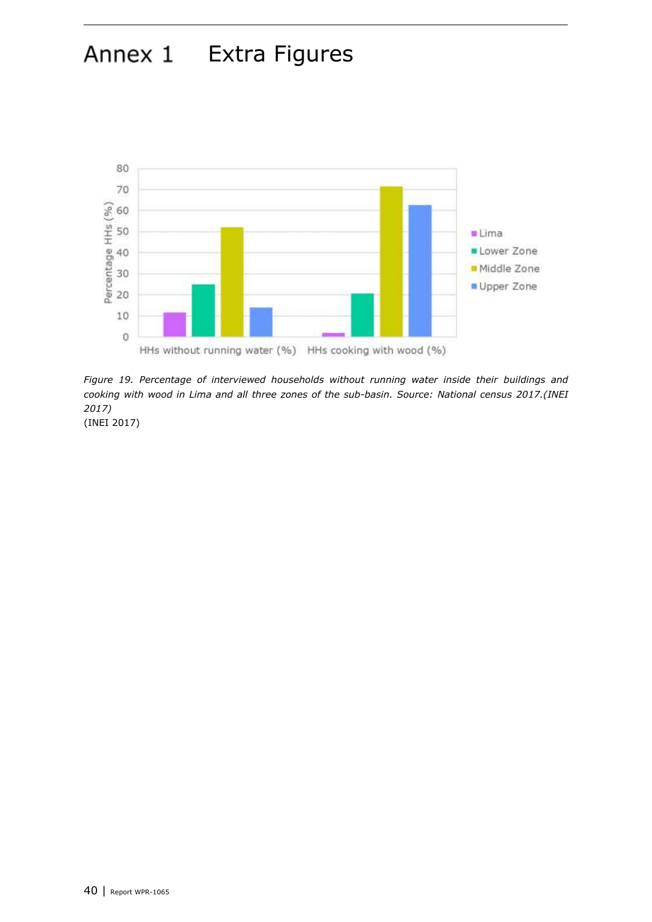## Annex 1 Extra Figures



<span id="page-39-0"></span>*Figure 19. Percentage of interviewed households without running water inside their buildings and cooking with wood in Lima and all three zones of the sub-basin. Source: National census 2017.(INEI 2017)*

(INEI 2017)